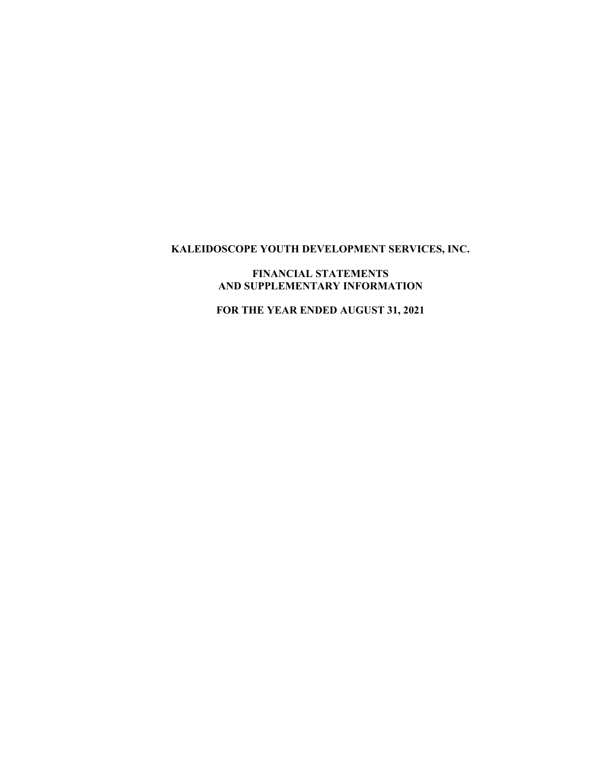# **FINANCIAL STATEMENTS AND SUPPLEMENTARY INFORMATION**

 **FOR THE YEAR ENDED AUGUST 31, 2021**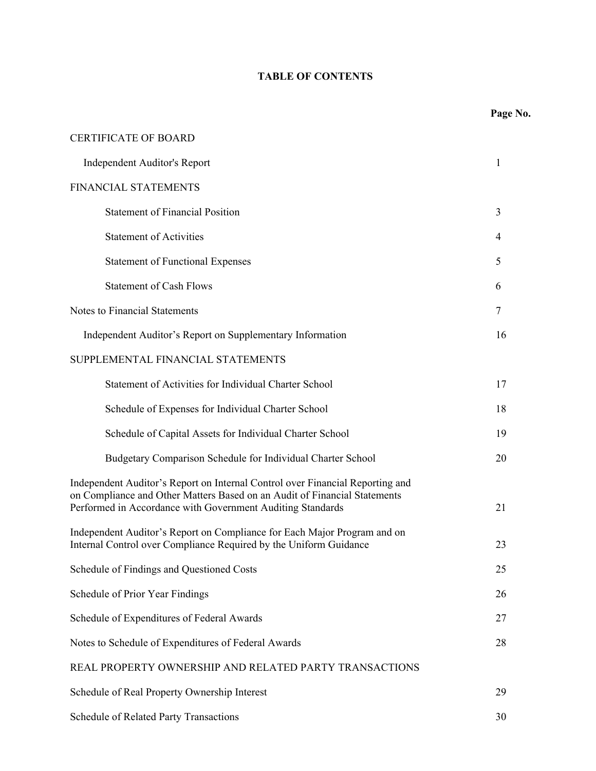# **TABLE OF CONTENTS**

| <b>CERTIFICATE OF BOARD</b>                                                                                                                                                                                              |    |
|--------------------------------------------------------------------------------------------------------------------------------------------------------------------------------------------------------------------------|----|
| Independent Auditor's Report                                                                                                                                                                                             | 1  |
| FINANCIAL STATEMENTS                                                                                                                                                                                                     |    |
| <b>Statement of Financial Position</b>                                                                                                                                                                                   | 3  |
| <b>Statement of Activities</b>                                                                                                                                                                                           | 4  |
| <b>Statement of Functional Expenses</b>                                                                                                                                                                                  | 5  |
| <b>Statement of Cash Flows</b>                                                                                                                                                                                           | 6  |
| Notes to Financial Statements                                                                                                                                                                                            | 7  |
| Independent Auditor's Report on Supplementary Information                                                                                                                                                                | 16 |
| SUPPLEMENTAL FINANCIAL STATEMENTS                                                                                                                                                                                        |    |
| Statement of Activities for Individual Charter School                                                                                                                                                                    | 17 |
| Schedule of Expenses for Individual Charter School                                                                                                                                                                       | 18 |
| Schedule of Capital Assets for Individual Charter School                                                                                                                                                                 | 19 |
| Budgetary Comparison Schedule for Individual Charter School                                                                                                                                                              | 20 |
| Independent Auditor's Report on Internal Control over Financial Reporting and<br>on Compliance and Other Matters Based on an Audit of Financial Statements<br>Performed in Accordance with Government Auditing Standards | 21 |
| Independent Auditor's Report on Compliance for Each Major Program and on<br>Internal Control over Compliance Required by the Uniform Guidance                                                                            | 23 |
| Schedule of Findings and Questioned Costs                                                                                                                                                                                | 25 |
| Schedule of Prior Year Findings                                                                                                                                                                                          | 26 |
| Schedule of Expenditures of Federal Awards                                                                                                                                                                               | 27 |
| Notes to Schedule of Expenditures of Federal Awards                                                                                                                                                                      | 28 |
| REAL PROPERTY OWNERSHIP AND RELATED PARTY TRANSACTIONS                                                                                                                                                                   |    |
| Schedule of Real Property Ownership Interest                                                                                                                                                                             | 29 |
| Schedule of Related Party Transactions                                                                                                                                                                                   | 30 |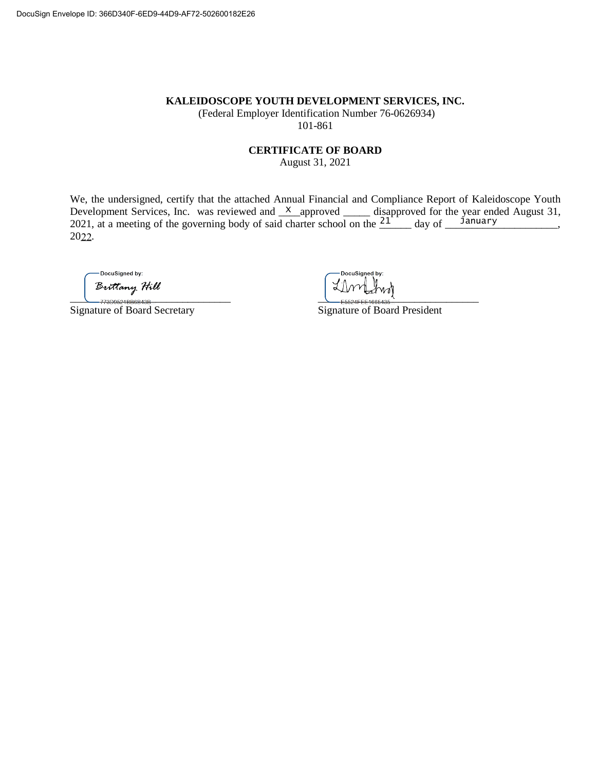(Federal Employer Identification Number 76-0626934)

101-861

# **CERTIFICATE OF BOARD**

August 31, 2021

We, the undersigned, certify that the attached Annual Financial and Compliance Report of Kaleidoscope Youth Development Services, Inc. was reviewed and  $\frac{\mathsf{X}}{\mathsf{X}}$  approved  $\frac{\mathsf{X}}{\mathsf{X}}$  disapproved for the year ended August 31, 2021, at a meeting of the governing body of said charter school on the  $\frac{21}{\cdot}$  day of  $\frac{\cdot}{\cdot}$  danuary, 2022. X

DocuSigned by:

Signature of Board Secretary Signature of Board President

DocuSianed by: \_\_\_\_\_\_\_\_\_\_\_\_\_\_\_\_\_\_\_\_\_\_\_\_\_\_\_\_\_\_ \_\_\_\_\_\_\_\_\_\_\_\_\_\_\_\_\_\_\_\_\_\_\_\_\_\_\_\_\_\_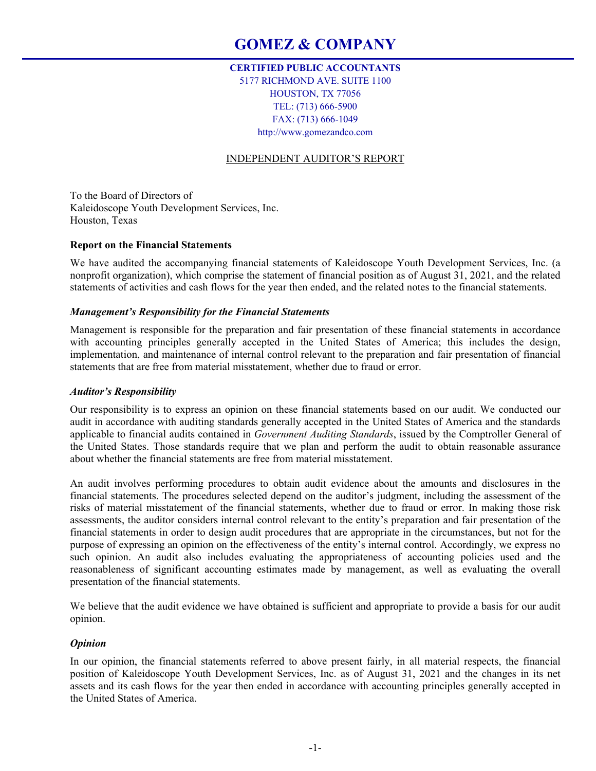# **CERTIFIED PUBLIC ACCOUNTANTS**

5177 RICHMOND AVE. SUITE 1100 HOUSTON, TX 77056 TEL: (713) 666-5900 FAX: (713) 666-1049 http://www.gomezandco.com

# INDEPENDENT AUDITOR'S REPORT

To the Board of Directors of Kaleidoscope Youth Development Services, Inc. Houston, Texas

#### **Report on the Financial Statements**

We have audited the accompanying financial statements of Kaleidoscope Youth Development Services, Inc. (a nonprofit organization), which comprise the statement of financial position as of August 31, 2021, and the related statements of activities and cash flows for the year then ended, and the related notes to the financial statements.

#### *Management's Responsibility for the Financial Statements*

Management is responsible for the preparation and fair presentation of these financial statements in accordance with accounting principles generally accepted in the United States of America; this includes the design, implementation, and maintenance of internal control relevant to the preparation and fair presentation of financial statements that are free from material misstatement, whether due to fraud or error.

## *Auditor's Responsibility*

Our responsibility is to express an opinion on these financial statements based on our audit. We conducted our audit in accordance with auditing standards generally accepted in the United States of America and the standards applicable to financial audits contained in *Government Auditing Standards*, issued by the Comptroller General of the United States. Those standards require that we plan and perform the audit to obtain reasonable assurance about whether the financial statements are free from material misstatement.

An audit involves performing procedures to obtain audit evidence about the amounts and disclosures in the financial statements. The procedures selected depend on the auditor's judgment, including the assessment of the risks of material misstatement of the financial statements, whether due to fraud or error. In making those risk assessments, the auditor considers internal control relevant to the entity's preparation and fair presentation of the financial statements in order to design audit procedures that are appropriate in the circumstances, but not for the purpose of expressing an opinion on the effectiveness of the entity's internal control. Accordingly, we express no such opinion. An audit also includes evaluating the appropriateness of accounting policies used and the reasonableness of significant accounting estimates made by management, as well as evaluating the overall presentation of the financial statements.

We believe that the audit evidence we have obtained is sufficient and appropriate to provide a basis for our audit opinion.

## *Opinion*

In our opinion, the financial statements referred to above present fairly, in all material respects, the financial position of Kaleidoscope Youth Development Services, Inc. as of August 31, 2021 and the changes in its net assets and its cash flows for the year then ended in accordance with accounting principles generally accepted in the United States of America.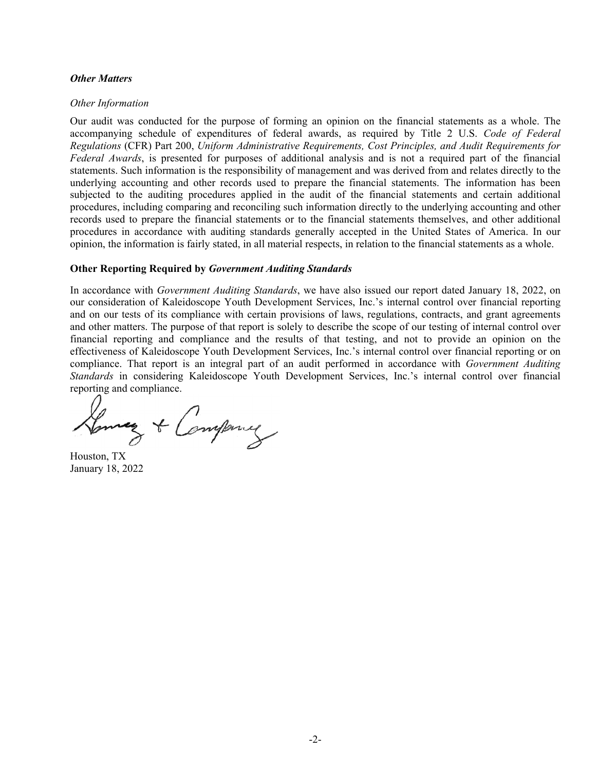#### *Other Matters*

#### *Other Information*

Our audit was conducted for the purpose of forming an opinion on the financial statements as a whole. The accompanying schedule of expenditures of federal awards, as required by Title 2 U.S. *Code of Federal Regulations* (CFR) Part 200, *Uniform Administrative Requirements, Cost Principles, and Audit Requirements for Federal Awards*, is presented for purposes of additional analysis and is not a required part of the financial statements. Such information is the responsibility of management and was derived from and relates directly to the underlying accounting and other records used to prepare the financial statements. The information has been subjected to the auditing procedures applied in the audit of the financial statements and certain additional procedures, including comparing and reconciling such information directly to the underlying accounting and other records used to prepare the financial statements or to the financial statements themselves, and other additional procedures in accordance with auditing standards generally accepted in the United States of America. In our opinion, the information is fairly stated, in all material respects, in relation to the financial statements as a whole.

#### **Other Reporting Required by** *Government Auditing Standards*

In accordance with *Government Auditing Standards*, we have also issued our report dated January 18, 2022, on our consideration of Kaleidoscope Youth Development Services, Inc.'s internal control over financial reporting and on our tests of its compliance with certain provisions of laws, regulations, contracts, and grant agreements and other matters. The purpose of that report is solely to describe the scope of our testing of internal control over financial reporting and compliance and the results of that testing, and not to provide an opinion on the effectiveness of Kaleidoscope Youth Development Services, Inc.'s internal control over financial reporting or on compliance. That report is an integral part of an audit performed in accordance with *Government Auditing Standards* in considering Kaleidoscope Youth Development Services, Inc.'s internal control over financial reporting and compliance.

Lonney & Company

Houston, TX January 18, 2022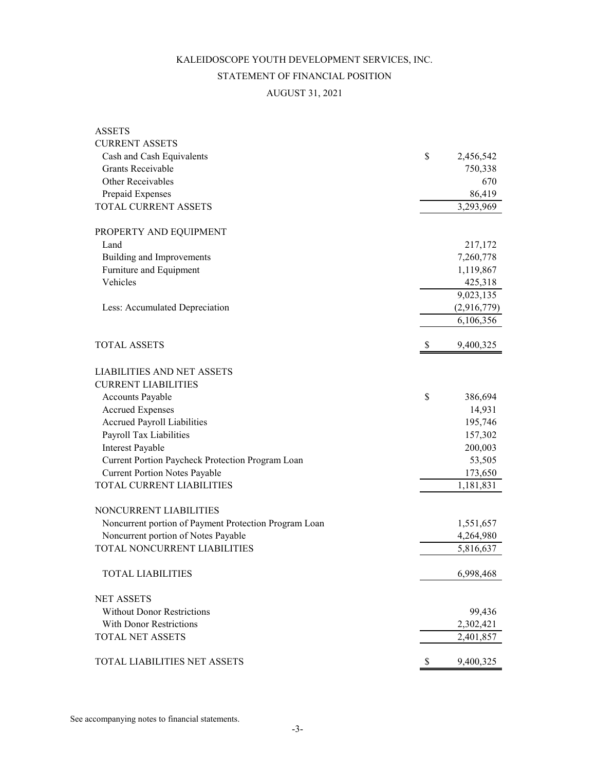# KALEIDOSCOPE YOUTH DEVELOPMENT SERVICES, INC. STATEMENT OF FINANCIAL POSITION AUGUST 31, 2021

| <b>ASSETS</b>                                         |    |             |
|-------------------------------------------------------|----|-------------|
| <b>CURRENT ASSETS</b>                                 |    |             |
| Cash and Cash Equivalents                             | \$ | 2,456,542   |
| <b>Grants Receivable</b>                              |    | 750,338     |
| Other Receivables                                     |    | 670         |
| Prepaid Expenses                                      |    | 86,419      |
| TOTAL CURRENT ASSETS                                  |    | 3,293,969   |
| PROPERTY AND EQUIPMENT                                |    |             |
| Land                                                  |    | 217,172     |
| <b>Building and Improvements</b>                      |    | 7,260,778   |
| Furniture and Equipment                               |    | 1,119,867   |
| Vehicles                                              |    | 425,318     |
|                                                       |    | 9,023,135   |
| Less: Accumulated Depreciation                        |    | (2,916,779) |
|                                                       |    | 6,106,356   |
| <b>TOTAL ASSETS</b>                                   | S  | 9,400,325   |
| <b>LIABILITIES AND NET ASSETS</b>                     |    |             |
| <b>CURRENT LIABILITIES</b>                            |    |             |
| <b>Accounts Payable</b>                               | \$ | 386,694     |
| <b>Accrued Expenses</b>                               |    | 14,931      |
| <b>Accrued Payroll Liabilities</b>                    |    | 195,746     |
| Payroll Tax Liabilities                               |    | 157,302     |
| Interest Payable                                      |    | 200,003     |
| Current Portion Paycheck Protection Program Loan      |    | 53,505      |
| <b>Current Portion Notes Payable</b>                  |    | 173,650     |
| TOTAL CURRENT LIABILITIES                             |    | 1,181,831   |
| NONCURRENT LIABILITIES                                |    |             |
| Noncurrent portion of Payment Protection Program Loan |    | 1,551,657   |
| Noncurrent portion of Notes Payable                   |    | 4,264,980   |
| TOTAL NONCURRENT LIABILITIES                          |    | 5,816,637   |
| <b>TOTAL LIABILITIES</b>                              |    | 6,998,468   |
| <b>NET ASSETS</b>                                     |    |             |
| <b>Without Donor Restrictions</b>                     |    | 99,436      |
| <b>With Donor Restrictions</b>                        |    | 2,302,421   |
| TOTAL NET ASSETS                                      |    | 2,401,857   |
| TOTAL LIABILITIES NET ASSETS                          | \$ | 9,400,325   |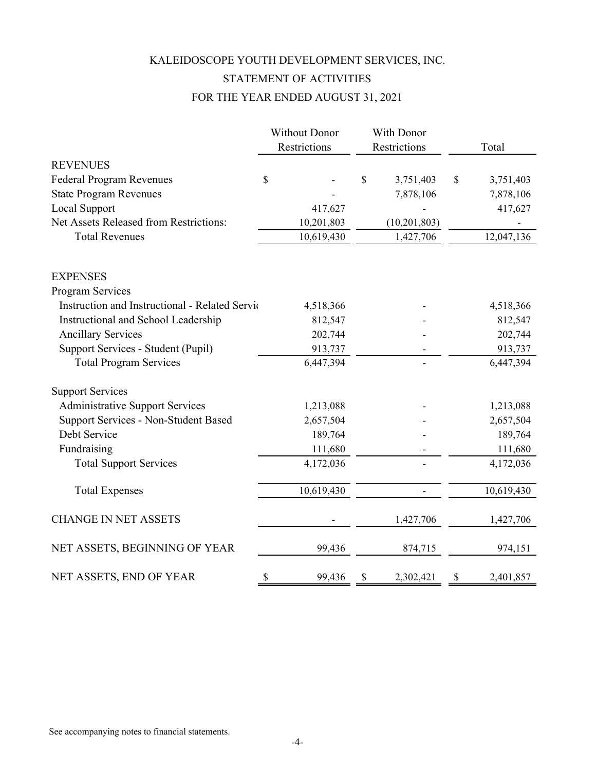# KALEIDOSCOPE YOUTH DEVELOPMENT SERVICES, INC. STATEMENT OF ACTIVITIES FOR THE YEAR ENDED AUGUST 31, 2021

|                                                | <b>Without Donor</b> |              | With Donor      |                 |
|------------------------------------------------|----------------------|--------------|-----------------|-----------------|
|                                                |                      | Restrictions | Restrictions    | Total           |
| <b>REVENUES</b>                                |                      |              |                 |                 |
| <b>Federal Program Revenues</b>                | \$                   |              | \$<br>3,751,403 | \$<br>3,751,403 |
| <b>State Program Revenues</b>                  |                      |              | 7,878,106       | 7,878,106       |
| Local Support                                  |                      | 417,627      |                 | 417,627         |
| Net Assets Released from Restrictions:         |                      | 10,201,803   | (10, 201, 803)  |                 |
| <b>Total Revenues</b>                          |                      | 10,619,430   | 1,427,706       | 12,047,136      |
| <b>EXPENSES</b>                                |                      |              |                 |                 |
| Program Services                               |                      |              |                 |                 |
| Instruction and Instructional - Related Servic |                      | 4,518,366    |                 | 4,518,366       |
| Instructional and School Leadership            |                      | 812,547      |                 | 812,547         |
| <b>Ancillary Services</b>                      |                      | 202,744      |                 | 202,744         |
| Support Services - Student (Pupil)             |                      | 913,737      |                 | 913,737         |
| <b>Total Program Services</b>                  |                      | 6,447,394    |                 | 6,447,394       |
| <b>Support Services</b>                        |                      |              |                 |                 |
| <b>Administrative Support Services</b>         |                      | 1,213,088    |                 | 1,213,088       |
| Support Services - Non-Student Based           |                      | 2,657,504    |                 | 2,657,504       |
| Debt Service                                   |                      | 189,764      |                 | 189,764         |
| Fundraising                                    |                      | 111,680      |                 | 111,680         |
| <b>Total Support Services</b>                  |                      | 4,172,036    |                 | 4,172,036       |
| <b>Total Expenses</b>                          |                      | 10,619,430   |                 | 10,619,430      |
| <b>CHANGE IN NET ASSETS</b>                    |                      |              | 1,427,706       | 1,427,706       |
| NET ASSETS, BEGINNING OF YEAR                  |                      | 99,436       | 874,715         | 974,151         |
| NET ASSETS, END OF YEAR                        | \$                   | 99,436       | \$<br>2,302,421 | \$<br>2,401,857 |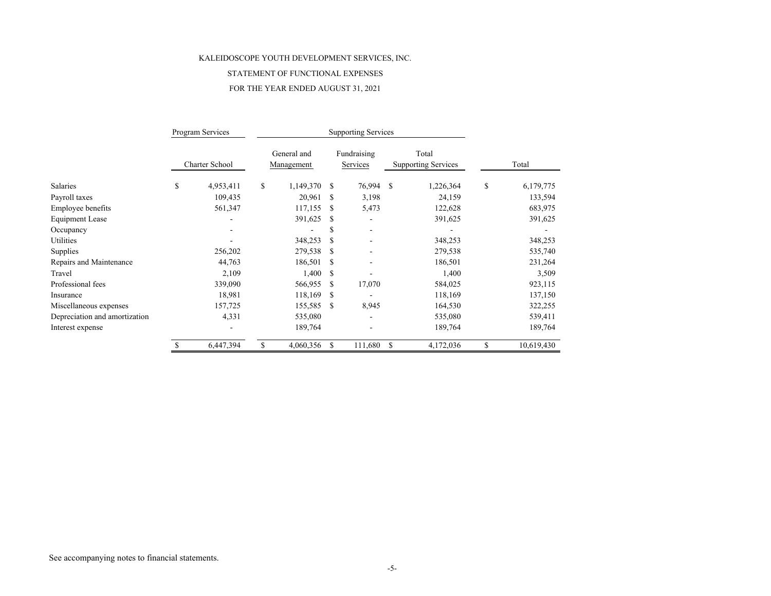# STATEMENT OF FUNCTIONAL EXPENSES

# FOR THE YEAR ENDED AUGUST 31, 2021

|                               | Program Services |                |                 |               | <b>Supporting Services</b> |      |                            |    |            |
|-------------------------------|------------------|----------------|-----------------|---------------|----------------------------|------|----------------------------|----|------------|
|                               |                  |                | General and     |               | Fundraising                |      | Total                      |    |            |
|                               |                  | Charter School | Management      |               | Services                   |      | <b>Supporting Services</b> |    | Total      |
| Salaries                      | \$               | 4,953,411      | \$<br>1,149,370 | <sup>\$</sup> | 76,994                     | - \$ | 1,226,364                  | \$ | 6,179,775  |
| Payroll taxes                 |                  | 109,435        | 20,961          | S             | 3,198                      |      | 24,159                     |    | 133,594    |
| Employee benefits             |                  | 561,347        | 117,155         | S             | 5,473                      |      | 122,628                    |    | 683,975    |
| <b>Equipment Lease</b>        |                  |                | 391,625         | S             |                            |      | 391,625                    |    | 391,625    |
| Occupancy                     |                  |                |                 | S             |                            |      |                            |    |            |
| Utilities                     |                  |                | 348,253         | S             |                            |      | 348,253                    |    | 348,253    |
| Supplies                      |                  | 256,202        | 279,538         | S             |                            |      | 279,538                    |    | 535,740    |
| Repairs and Maintenance       |                  | 44,763         | 186,501         | S             |                            |      | 186,501                    |    | 231,264    |
| Travel                        |                  | 2,109          | 1,400           | S             |                            |      | 1,400                      |    | 3,509      |
| Professional fees             |                  | 339,090        | 566,955         | S             | 17,070                     |      | 584,025                    |    | 923,115    |
| Insurance                     |                  | 18,981         | 118,169         | <sup>\$</sup> |                            |      | 118,169                    |    | 137,150    |
| Miscellaneous expenses        |                  | 157,725        | 155,585         | <sup>\$</sup> | 8,945                      |      | 164,530                    |    | 322,255    |
| Depreciation and amortization |                  | 4,331          | 535,080         |               |                            |      | 535,080                    |    | 539,411    |
| Interest expense              |                  |                | 189,764         |               |                            |      | 189,764                    |    | 189,764    |
|                               |                  | 6,447,394      | \$<br>4,060,356 | ж             | 111,680                    | -S   | 4,172,036                  | S  | 10,619,430 |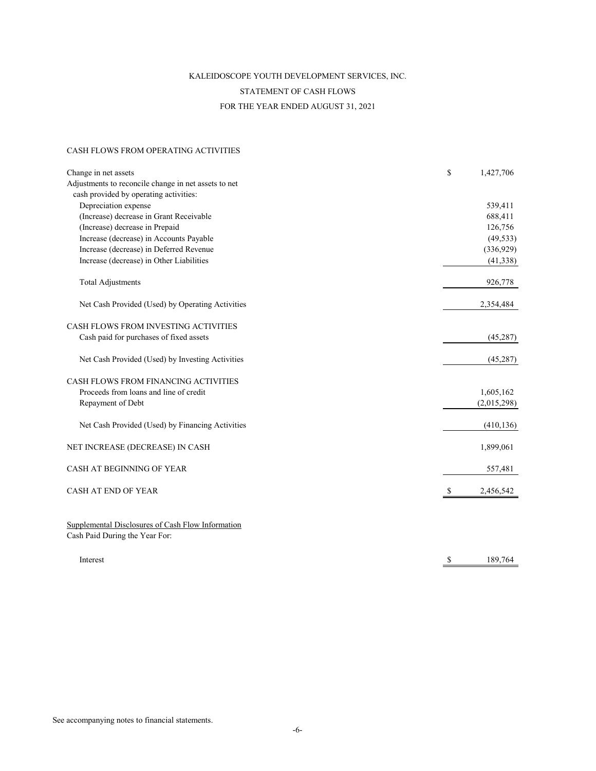# KALEIDOSCOPE YOUTH DEVELOPMENT SERVICES, INC. STATEMENT OF CASH FLOWS FOR THE YEAR ENDED AUGUST 31, 2021

# CASH FLOWS FROM OPERATING ACTIVITIES

| Change in net assets                                                                | \$<br>1,427,706 |
|-------------------------------------------------------------------------------------|-----------------|
| Adjustments to reconcile change in net assets to net                                |                 |
| cash provided by operating activities:                                              |                 |
| Depreciation expense                                                                | 539,411         |
| (Increase) decrease in Grant Receivable                                             | 688,411         |
| (Increase) decrease in Prepaid                                                      | 126,756         |
| Increase (decrease) in Accounts Payable                                             | (49, 533)       |
| Increase (decrease) in Deferred Revenue                                             | (336, 929)      |
| Increase (decrease) in Other Liabilities                                            | (41, 338)       |
| <b>Total Adjustments</b>                                                            | 926,778         |
| Net Cash Provided (Used) by Operating Activities                                    | 2,354,484       |
| CASH FLOWS FROM INVESTING ACTIVITIES                                                |                 |
| Cash paid for purchases of fixed assets                                             | (45,287)        |
| Net Cash Provided (Used) by Investing Activities                                    | (45, 287)       |
| CASH FLOWS FROM FINANCING ACTIVITIES                                                |                 |
| Proceeds from loans and line of credit                                              | 1,605,162       |
| Repayment of Debt                                                                   | (2,015,298)     |
| Net Cash Provided (Used) by Financing Activities                                    | (410, 136)      |
| NET INCREASE (DECREASE) IN CASH                                                     | 1,899,061       |
| CASH AT BEGINNING OF YEAR                                                           | 557,481         |
| CASH AT END OF YEAR                                                                 | \$<br>2,456,542 |
|                                                                                     |                 |
| Supplemental Disclosures of Cash Flow Information<br>Cash Paid During the Year For: |                 |
|                                                                                     |                 |
| Interest                                                                            | \$<br>189,764   |

See accompanying notes to financial statements.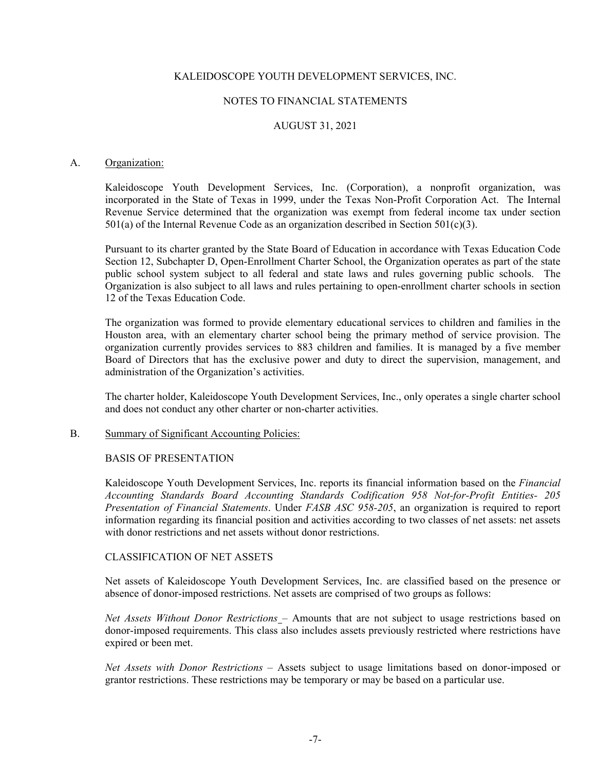#### NOTES TO FINANCIAL STATEMENTS

# AUGUST 31, 2021

#### A. Organization:

Kaleidoscope Youth Development Services, Inc. (Corporation), a nonprofit organization, was incorporated in the State of Texas in 1999, under the Texas Non-Profit Corporation Act. The Internal Revenue Service determined that the organization was exempt from federal income tax under section  $501(a)$  of the Internal Revenue Code as an organization described in Section  $501(c)(3)$ .

Pursuant to its charter granted by the State Board of Education in accordance with Texas Education Code Section 12, Subchapter D, Open-Enrollment Charter School, the Organization operates as part of the state public school system subject to all federal and state laws and rules governing public schools. The Organization is also subject to all laws and rules pertaining to open-enrollment charter schools in section 12 of the Texas Education Code.

The organization was formed to provide elementary educational services to children and families in the Houston area, with an elementary charter school being the primary method of service provision. The organization currently provides services to 883 children and families. It is managed by a five member Board of Directors that has the exclusive power and duty to direct the supervision, management, and administration of the Organization's activities.

The charter holder, Kaleidoscope Youth Development Services, Inc., only operates a single charter school and does not conduct any other charter or non-charter activities.

#### B. Summary of Significant Accounting Policies:

## BASIS OF PRESENTATION

Kaleidoscope Youth Development Services, Inc. reports its financial information based on the *Financial Accounting Standards Board Accounting Standards Codification 958 Not-for-Profit Entities- 205 Presentation of Financial Statements*. Under *FASB ASC 958-205*, an organization is required to report information regarding its financial position and activities according to two classes of net assets: net assets with donor restrictions and net assets without donor restrictions.

## CLASSIFICATION OF NET ASSETS

Net assets of Kaleidoscope Youth Development Services, Inc. are classified based on the presence or absence of donor-imposed restrictions. Net assets are comprised of two groups as follows:

*Net Assets Without Donor Restrictions* – Amounts that are not subject to usage restrictions based on donor-imposed requirements. This class also includes assets previously restricted where restrictions have expired or been met.

*Net Assets with Donor Restrictions –* Assets subject to usage limitations based on donor-imposed or grantor restrictions. These restrictions may be temporary or may be based on a particular use.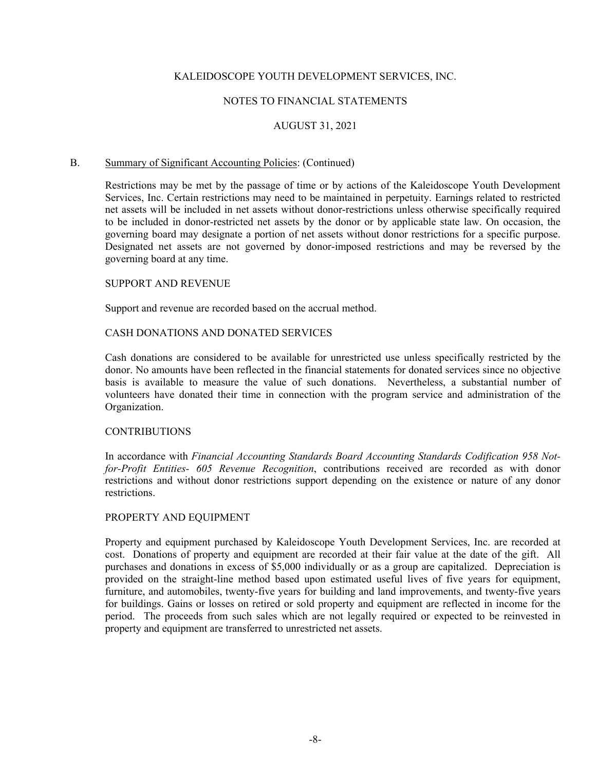#### NOTES TO FINANCIAL STATEMENTS

# AUGUST 31, 2021

#### B. Summary of Significant Accounting Policies: (Continued)

Restrictions may be met by the passage of time or by actions of the Kaleidoscope Youth Development Services, Inc. Certain restrictions may need to be maintained in perpetuity. Earnings related to restricted net assets will be included in net assets without donor-restrictions unless otherwise specifically required to be included in donor-restricted net assets by the donor or by applicable state law. On occasion, the governing board may designate a portion of net assets without donor restrictions for a specific purpose. Designated net assets are not governed by donor-imposed restrictions and may be reversed by the governing board at any time.

#### SUPPORT AND REVENUE

Support and revenue are recorded based on the accrual method.

### CASH DONATIONS AND DONATED SERVICES

Cash donations are considered to be available for unrestricted use unless specifically restricted by the donor. No amounts have been reflected in the financial statements for donated services since no objective basis is available to measure the value of such donations. Nevertheless, a substantial number of volunteers have donated their time in connection with the program service and administration of the Organization.

#### **CONTRIBUTIONS**

In accordance with *Financial Accounting Standards Board Accounting Standards Codification 958 Notfor-Profit Entities- 605 Revenue Recognition*, contributions received are recorded as with donor restrictions and without donor restrictions support depending on the existence or nature of any donor restrictions.

#### PROPERTY AND EQUIPMENT

Property and equipment purchased by Kaleidoscope Youth Development Services, Inc. are recorded at cost. Donations of property and equipment are recorded at their fair value at the date of the gift. All purchases and donations in excess of \$5,000 individually or as a group are capitalized. Depreciation is provided on the straight-line method based upon estimated useful lives of five years for equipment, furniture, and automobiles, twenty-five years for building and land improvements, and twenty-five years for buildings. Gains or losses on retired or sold property and equipment are reflected in income for the period. The proceeds from such sales which are not legally required or expected to be reinvested in property and equipment are transferred to unrestricted net assets.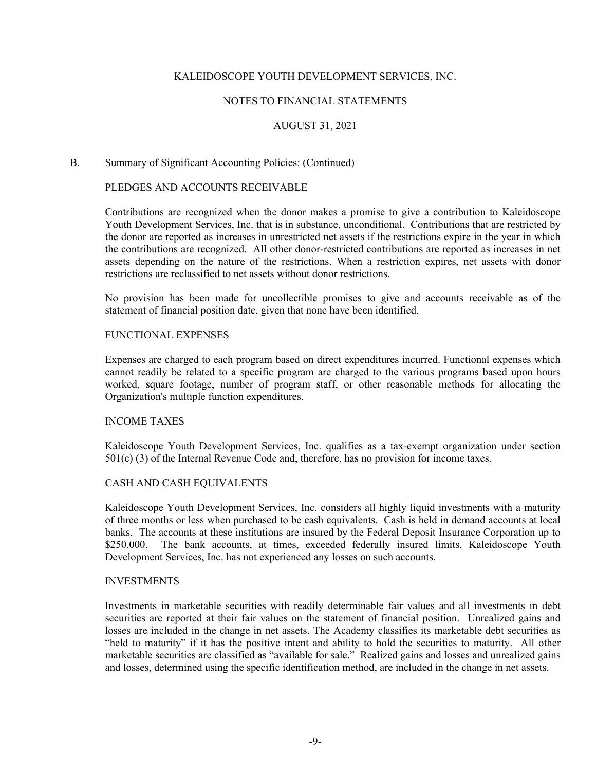#### NOTES TO FINANCIAL STATEMENTS

# AUGUST 31, 2021

#### B. Summary of Significant Accounting Policies: (Continued)

#### PLEDGES AND ACCOUNTS RECEIVABLE

Contributions are recognized when the donor makes a promise to give a contribution to Kaleidoscope Youth Development Services, Inc. that is in substance, unconditional. Contributions that are restricted by the donor are reported as increases in unrestricted net assets if the restrictions expire in the year in which the contributions are recognized. All other donor-restricted contributions are reported as increases in net assets depending on the nature of the restrictions. When a restriction expires, net assets with donor restrictions are reclassified to net assets without donor restrictions.

No provision has been made for uncollectible promises to give and accounts receivable as of the statement of financial position date, given that none have been identified.

#### FUNCTIONAL EXPENSES

Expenses are charged to each program based on direct expenditures incurred. Functional expenses which cannot readily be related to a specific program are charged to the various programs based upon hours worked, square footage, number of program staff, or other reasonable methods for allocating the Organization's multiple function expenditures.

#### INCOME TAXES

Kaleidoscope Youth Development Services, Inc. qualifies as a tax-exempt organization under section 501(c) (3) of the Internal Revenue Code and, therefore, has no provision for income taxes.

#### CASH AND CASH EQUIVALENTS

Kaleidoscope Youth Development Services, Inc. considers all highly liquid investments with a maturity of three months or less when purchased to be cash equivalents. Cash is held in demand accounts at local banks. The accounts at these institutions are insured by the Federal Deposit Insurance Corporation up to \$250,000. The bank accounts, at times, exceeded federally insured limits. Kaleidoscope Youth Development Services, Inc. has not experienced any losses on such accounts.

#### INVESTMENTS

Investments in marketable securities with readily determinable fair values and all investments in debt securities are reported at their fair values on the statement of financial position. Unrealized gains and losses are included in the change in net assets. The Academy classifies its marketable debt securities as "held to maturity" if it has the positive intent and ability to hold the securities to maturity. All other marketable securities are classified as "available for sale." Realized gains and losses and unrealized gains and losses, determined using the specific identification method, are included in the change in net assets.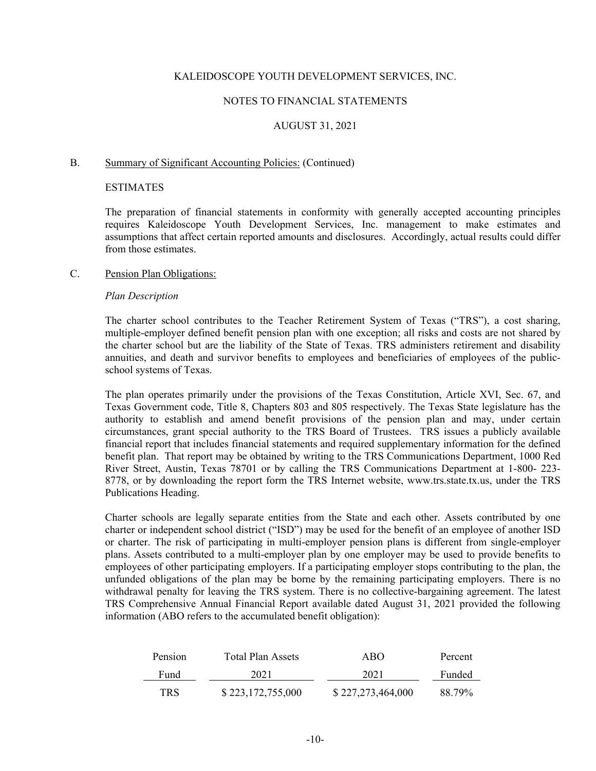## NOTES TO FINANCIAL STATEMENTS

# AUGUST 31, 2021

#### B. Summary of Significant Accounting Policies: (Continued)

#### ESTIMATES

The preparation of financial statements in conformity with generally accepted accounting principles requires Kaleidoscope Youth Development Services, Inc. management to make estimates and assumptions that affect certain reported amounts and disclosures. Accordingly, actual results could differ from those estimates.

#### C. Pension Plan Obligations:

#### *Plan Description*

The charter school contributes to the Teacher Retirement System of Texas ("TRS"), a cost sharing, multiple-employer defined benefit pension plan with one exception; all risks and costs are not shared by the charter school but are the liability of the State of Texas. TRS administers retirement and disability annuities, and death and survivor benefits to employees and beneficiaries of employees of the publicschool systems of Texas.

The plan operates primarily under the provisions of the Texas Constitution, Article XVI, Sec. 67, and Texas Government code, Title 8, Chapters 803 and 805 respectively. The Texas State legislature has the authority to establish and amend benefit provisions of the pension plan and may, under certain circumstances, grant special authority to the TRS Board of Trustees. TRS issues a publicly available financial report that includes financial statements and required supplementary information for the defined benefit plan. That report may be obtained by writing to the TRS Communications Department, 1000 Red River Street, Austin, Texas 78701 or by calling the TRS Communications Department at 1-800- 223- 8778, or by downloading the report form the TRS Internet website, www.trs.state.tx.us, under the TRS Publications Heading.

Charter schools are legally separate entities from the State and each other. Assets contributed by one charter or independent school district ("ISD") may be used for the benefit of an employee of another ISD or charter. The risk of participating in multi-employer pension plans is different from single-employer plans. Assets contributed to a multi-employer plan by one employer may be used to provide benefits to employees of other participating employers. If a participating employer stops contributing to the plan, the unfunded obligations of the plan may be borne by the remaining participating employers. There is no withdrawal penalty for leaving the TRS system. There is no collective-bargaining agreement. The latest TRS Comprehensive Annual Financial Report available dated August 31, 2021 provided the following information (ABO refers to the accumulated benefit obligation):

| Pension | Total Plan Assets | ABO               | Percent |
|---------|-------------------|-------------------|---------|
| Fund    | 2021              | 2021              | Funded  |
| TRS.    | \$223,172,755,000 | \$227,273,464,000 | 88.79%  |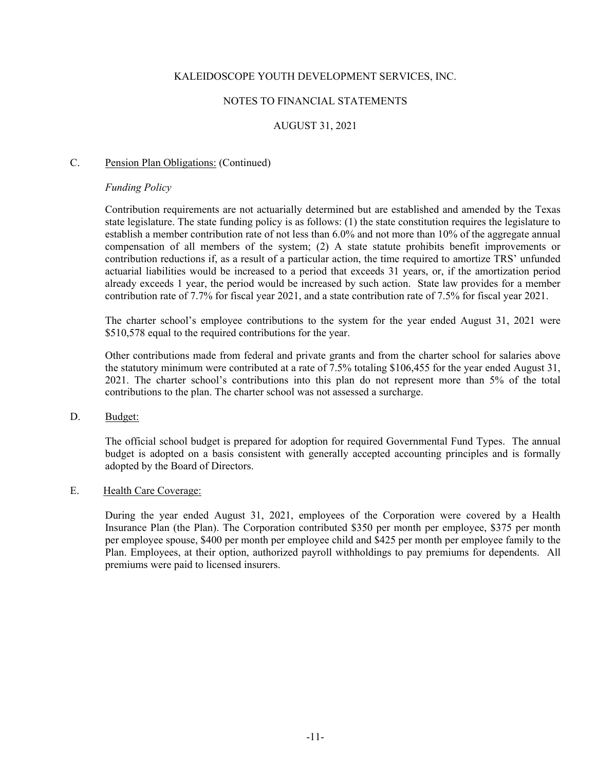#### NOTES TO FINANCIAL STATEMENTS

# AUGUST 31, 2021

#### C. Pension Plan Obligations: (Continued)

#### *Funding Policy*

Contribution requirements are not actuarially determined but are established and amended by the Texas state legislature. The state funding policy is as follows: (1) the state constitution requires the legislature to establish a member contribution rate of not less than 6.0% and not more than 10% of the aggregate annual compensation of all members of the system; (2) A state statute prohibits benefit improvements or contribution reductions if, as a result of a particular action, the time required to amortize TRS' unfunded actuarial liabilities would be increased to a period that exceeds 31 years, or, if the amortization period already exceeds 1 year, the period would be increased by such action. State law provides for a member contribution rate of 7.7% for fiscal year 2021, and a state contribution rate of 7.5% for fiscal year 2021.

The charter school's employee contributions to the system for the year ended August 31, 2021 were \$510,578 equal to the required contributions for the year.

Other contributions made from federal and private grants and from the charter school for salaries above the statutory minimum were contributed at a rate of 7.5% totaling \$106,455 for the year ended August 31, 2021. The charter school's contributions into this plan do not represent more than 5% of the total contributions to the plan. The charter school was not assessed a surcharge.

### D. Budget:

The official school budget is prepared for adoption for required Governmental Fund Types. The annual budget is adopted on a basis consistent with generally accepted accounting principles and is formally adopted by the Board of Directors.

#### E. Health Care Coverage:

 During the year ended August 31, 2021, employees of the Corporation were covered by a Health Insurance Plan (the Plan). The Corporation contributed \$350 per month per employee, \$375 per month per employee spouse, \$400 per month per employee child and \$425 per month per employee family to the Plan. Employees, at their option, authorized payroll withholdings to pay premiums for dependents. All premiums were paid to licensed insurers.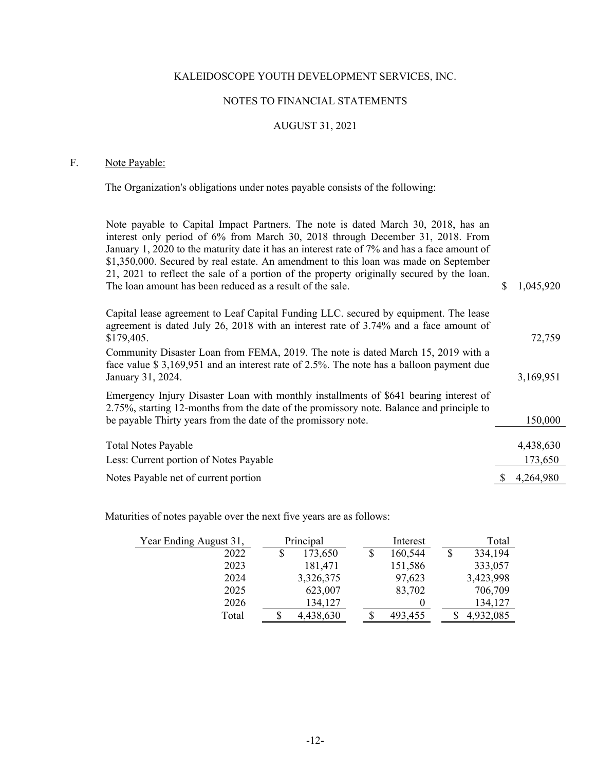#### NOTES TO FINANCIAL STATEMENTS

# AUGUST 31, 2021

# F. Note Payable:

The Organization's obligations under notes payable consists of the following:

| Note payable to Capital Impact Partners. The note is dated March 30, 2018, has an<br>interest only period of 6% from March 30, 2018 through December 31, 2018. From<br>January 1, 2020 to the maturity date it has an interest rate of 7% and has a face amount of<br>\$1,350,000. Secured by real estate. An amendment to this loan was made on September<br>21, 2021 to reflect the sale of a portion of the property originally secured by the loan. |    |                      |
|---------------------------------------------------------------------------------------------------------------------------------------------------------------------------------------------------------------------------------------------------------------------------------------------------------------------------------------------------------------------------------------------------------------------------------------------------------|----|----------------------|
| The loan amount has been reduced as a result of the sale.                                                                                                                                                                                                                                                                                                                                                                                               | S. | 1,045,920            |
| Capital lease agreement to Leaf Capital Funding LLC. secured by equipment. The lease<br>agreement is dated July 26, 2018 with an interest rate of 3.74% and a face amount of<br>\$179,405.                                                                                                                                                                                                                                                              |    | 72,759               |
| Community Disaster Loan from FEMA, 2019. The note is dated March 15, 2019 with a<br>face value \$3,169,951 and an interest rate of 2.5%. The note has a balloon payment due<br>January 31, 2024.                                                                                                                                                                                                                                                        |    | 3,169,951            |
| Emergency Injury Disaster Loan with monthly installments of \$641 bearing interest of<br>2.75%, starting 12-months from the date of the promissory note. Balance and principle to<br>be payable Thirty years from the date of the promissory note.                                                                                                                                                                                                      |    | 150,000              |
| <b>Total Notes Payable</b><br>Less: Current portion of Notes Payable                                                                                                                                                                                                                                                                                                                                                                                    |    | 4,438,630<br>173,650 |
| Notes Payable net of current portion                                                                                                                                                                                                                                                                                                                                                                                                                    |    | \$4,264,980          |

Maturities of notes payable over the next five years are as follows:

| Year Ending August 31, | Principal     | Interest      | Total         |
|------------------------|---------------|---------------|---------------|
| 2022                   | 173,650<br>\$ | 160,544<br>\$ | 334,194<br>\$ |
| 2023                   | 181,471       | 151,586       | 333,057       |
| 2024                   | 3,326,375     | 97,623        | 3,423,998     |
| 2025                   | 623,007       | 83,702        | 706,709       |
| 2026                   | 134,127       |               | 134,127       |
| Total                  | 4,438,630     | 493,455       | 4,932,085     |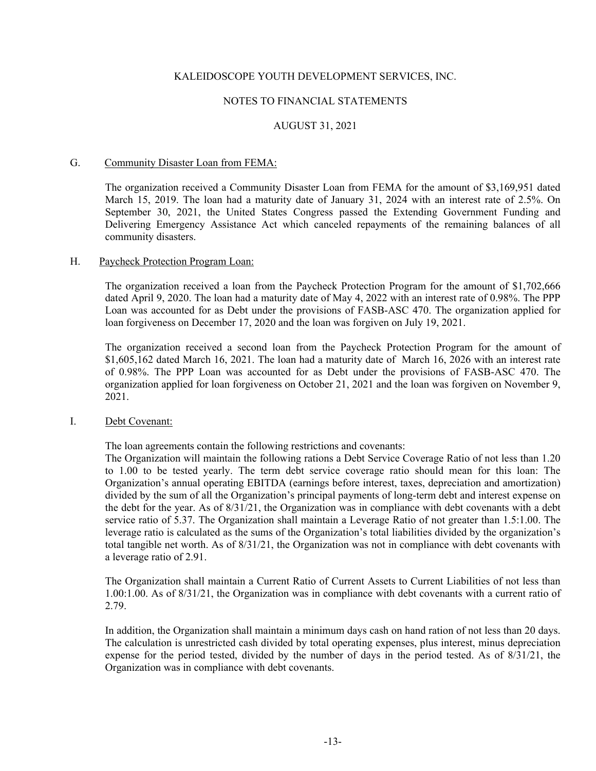#### NOTES TO FINANCIAL STATEMENTS

# AUGUST 31, 2021

#### G. Community Disaster Loan from FEMA:

The organization received a Community Disaster Loan from FEMA for the amount of \$3,169,951 dated March 15, 2019. The loan had a maturity date of January 31, 2024 with an interest rate of 2.5%. On September 30, 2021, the United States Congress passed the Extending Government Funding and Delivering Emergency Assistance Act which canceled repayments of the remaining balances of all community disasters.

#### H. Paycheck Protection Program Loan:

The organization received a loan from the Paycheck Protection Program for the amount of \$1,702,666 dated April 9, 2020. The loan had a maturity date of May 4, 2022 with an interest rate of 0.98%. The PPP Loan was accounted for as Debt under the provisions of FASB-ASC 470. The organization applied for loan forgiveness on December 17, 2020 and the loan was forgiven on July 19, 2021.

The organization received a second loan from the Paycheck Protection Program for the amount of \$1,605,162 dated March 16, 2021. The loan had a maturity date of March 16, 2026 with an interest rate of 0.98%. The PPP Loan was accounted for as Debt under the provisions of FASB-ASC 470. The organization applied for loan forgiveness on October 21, 2021 and the loan was forgiven on November 9, 2021.

#### I. Debt Covenant:

The loan agreements contain the following restrictions and covenants:

The Organization will maintain the following rations a Debt Service Coverage Ratio of not less than 1.20 to 1.00 to be tested yearly. The term debt service coverage ratio should mean for this loan: The Organization's annual operating EBITDA (earnings before interest, taxes, depreciation and amortization) divided by the sum of all the Organization's principal payments of long-term debt and interest expense on the debt for the year. As of 8/31/21, the Organization was in compliance with debt covenants with a debt service ratio of 5.37. The Organization shall maintain a Leverage Ratio of not greater than 1.5:1.00. The leverage ratio is calculated as the sums of the Organization's total liabilities divided by the organization's total tangible net worth. As of 8/31/21, the Organization was not in compliance with debt covenants with a leverage ratio of 2.91.

The Organization shall maintain a Current Ratio of Current Assets to Current Liabilities of not less than 1.00:1.00. As of 8/31/21, the Organization was in compliance with debt covenants with a current ratio of 2.79.

In addition, the Organization shall maintain a minimum days cash on hand ration of not less than 20 days. The calculation is unrestricted cash divided by total operating expenses, plus interest, minus depreciation expense for the period tested, divided by the number of days in the period tested. As of 8/31/21, the Organization was in compliance with debt covenants.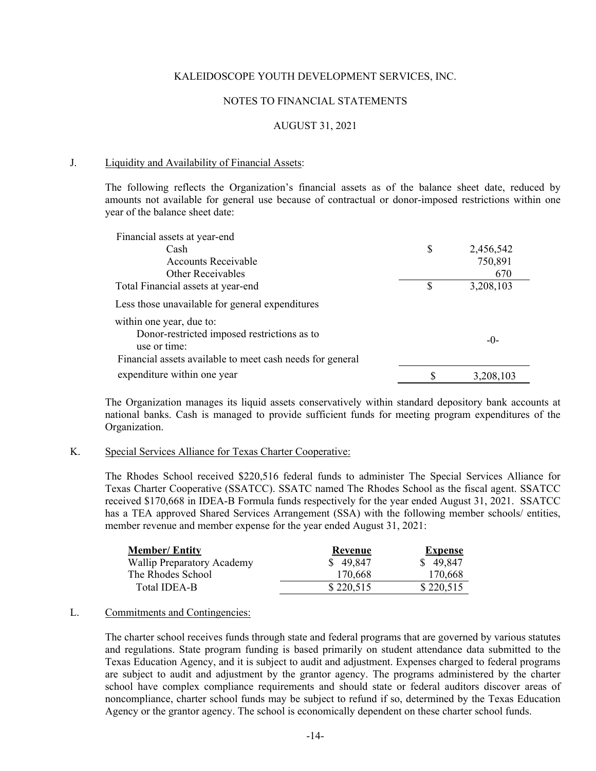## NOTES TO FINANCIAL STATEMENTS

## AUGUST 31, 2021

#### J. Liquidity and Availability of Financial Assets:

The following reflects the Organization's financial assets as of the balance sheet date, reduced by amounts not available for general use because of contractual or donor-imposed restrictions within one year of the balance sheet date:

| Financial assets at year-end                                |    |           |
|-------------------------------------------------------------|----|-----------|
| Cash                                                        | \$ | 2,456,542 |
| <b>Accounts Receivable</b>                                  |    | 750,891   |
| <b>Other Receivables</b>                                    |    | 670       |
| Total Financial assets at year-end                          |    | 3,208,103 |
| Less those unavailable for general expenditures             |    |           |
| within one year, due to:                                    |    |           |
| Donor-restricted imposed restrictions as to<br>use or time: |    | $-0-$     |
| Financial assets available to meet cash needs for general   |    |           |
| expenditure within one year                                 | S  | 3,208,103 |

The Organization manages its liquid assets conservatively within standard depository bank accounts at national banks. Cash is managed to provide sufficient funds for meeting program expenditures of the Organization.

#### K. Special Services Alliance for Texas Charter Cooperative:

The Rhodes School received \$220,516 federal funds to administer The Special Services Alliance for Texas Charter Cooperative (SSATCC). SSATC named The Rhodes School as the fiscal agent. SSATCC received \$170,668 in IDEA-B Formula funds respectively for the year ended August 31, 2021. SSATCC has a TEA approved Shared Services Arrangement (SSA) with the following member schools/ entities, member revenue and member expense for the year ended August 31, 2021:

| <b>Member/Entity</b>              | Revenue   | <b>Expense</b> |
|-----------------------------------|-----------|----------------|
| <b>Wallip Preparatory Academy</b> | \$49,847  | \$49,847       |
| The Rhodes School                 | 170.668   | 170.668        |
| Total IDEA-B                      | \$220,515 | \$220,515      |

## L. Commitments and Contingencies:

The charter school receives funds through state and federal programs that are governed by various statutes and regulations. State program funding is based primarily on student attendance data submitted to the Texas Education Agency, and it is subject to audit and adjustment. Expenses charged to federal programs are subject to audit and adjustment by the grantor agency. The programs administered by the charter school have complex compliance requirements and should state or federal auditors discover areas of noncompliance, charter school funds may be subject to refund if so, determined by the Texas Education Agency or the grantor agency. The school is economically dependent on these charter school funds.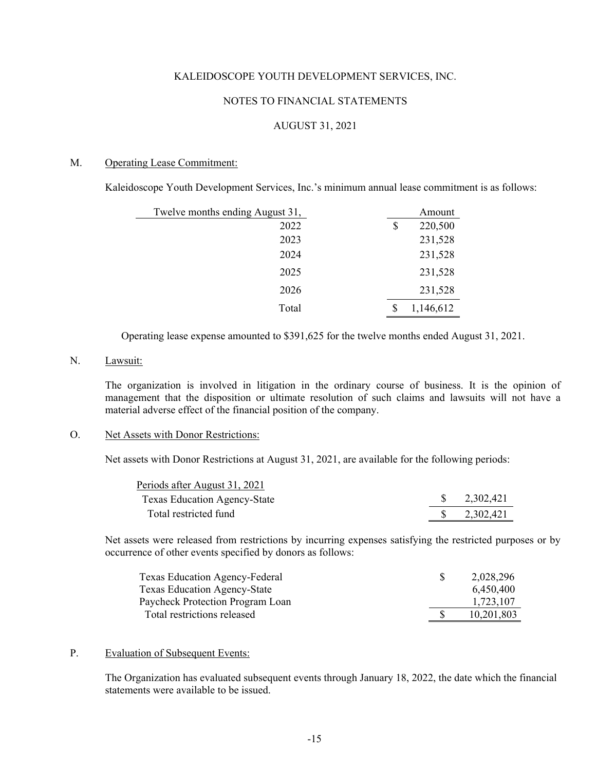## NOTES TO FINANCIAL STATEMENTS

# AUGUST 31, 2021

## M. Operating Lease Commitment:

Kaleidoscope Youth Development Services, Inc.'s minimum annual lease commitment is as follows:

| Twelve months ending August 31, | Amount        |
|---------------------------------|---------------|
| 2022                            | \$<br>220,500 |
| 2023                            | 231,528       |
| 2024                            | 231,528       |
| 2025                            | 231,528       |
| 2026                            | 231,528       |
| Total                           | 1,146,612     |

Operating lease expense amounted to \$391,625 for the twelve months ended August 31, 2021.

## N. Lawsuit:

 The organization is involved in litigation in the ordinary course of business. It is the opinion of management that the disposition or ultimate resolution of such claims and lawsuits will not have a material adverse effect of the financial position of the company.

#### O. Net Assets with Donor Restrictions:

Net assets with Donor Restrictions at August 31, 2021, are available for the following periods:

| Periods after August 31, 2021       |                           |
|-------------------------------------|---------------------------|
| <b>Texas Education Agency-State</b> | $\frac{1}{2}$ , 2,302,421 |
| Total restricted fund               | $\frac{1}{2}$ , 2,302,421 |

Net assets were released from restrictions by incurring expenses satisfying the restricted purposes or by occurrence of other events specified by donors as follows:

| Texas Education Agency-Federal      | 2,028,296  |
|-------------------------------------|------------|
| <b>Texas Education Agency-State</b> | 6.450.400  |
| Paycheck Protection Program Loan    | 1,723,107  |
| Total restrictions released         | 10,201,803 |

#### P. Evaluation of Subsequent Events:

The Organization has evaluated subsequent events through January 18, 2022, the date which the financial statements were available to be issued.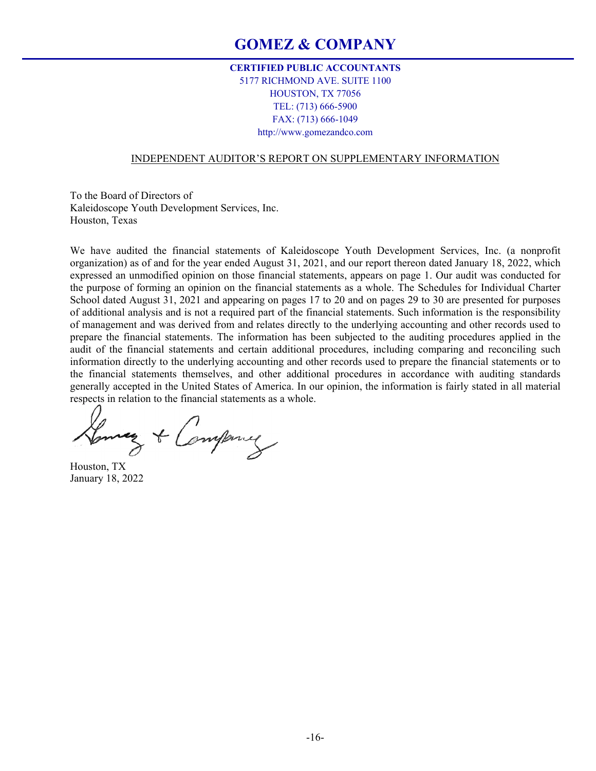# **GOMEZ & COMPANY**

# **CERTIFIED PUBLIC ACCOUNTANTS**  5177 RICHMOND AVE. SUITE 1100 HOUSTON, TX 77056 TEL: (713) 666-5900 FAX: (713) 666-1049 http://www.gomezandco.com

# INDEPENDENT AUDITOR'S REPORT ON SUPPLEMENTARY INFORMATION

To the Board of Directors of Kaleidoscope Youth Development Services, Inc. Houston, Texas

We have audited the financial statements of Kaleidoscope Youth Development Services, Inc. (a nonprofit organization) as of and for the year ended August 31, 2021, and our report thereon dated January 18, 2022, which expressed an unmodified opinion on those financial statements, appears on page 1. Our audit was conducted for the purpose of forming an opinion on the financial statements as a whole. The Schedules for Individual Charter School dated August 31, 2021 and appearing on pages 17 to 20 and on pages 29 to 30 are presented for purposes of additional analysis and is not a required part of the financial statements. Such information is the responsibility of management and was derived from and relates directly to the underlying accounting and other records used to prepare the financial statements. The information has been subjected to the auditing procedures applied in the audit of the financial statements and certain additional procedures, including comparing and reconciling such information directly to the underlying accounting and other records used to prepare the financial statements or to the financial statements themselves, and other additional procedures in accordance with auditing standards generally accepted in the United States of America. In our opinion, the information is fairly stated in all material respects in relation to the financial statements as a whole.

Lonney & Company

Houston, TX January 18, 2022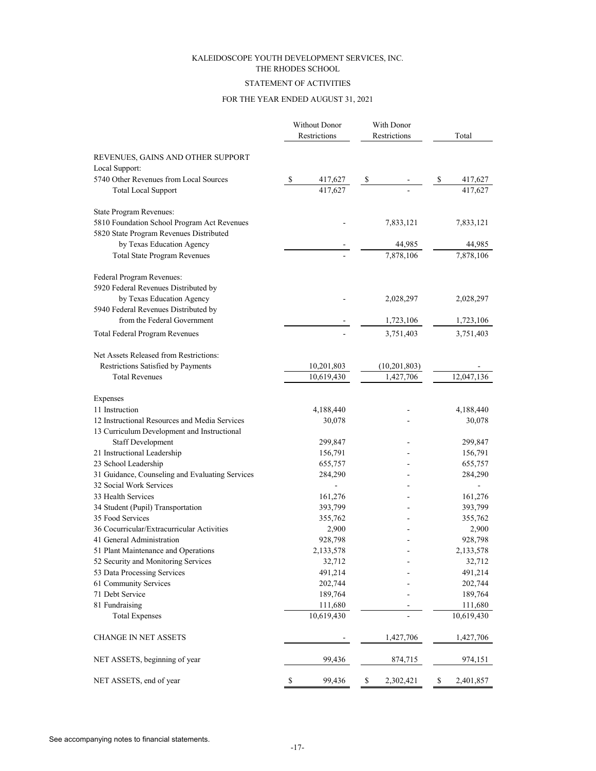## KALEIDOSCOPE YOUTH DEVELOPMENT SERVICES, INC. THE RHODES SCHOOL STATEMENT OF ACTIVITIES

#### FOR THE YEAR ENDED AUGUST 31, 2021

|                                                 | Without Donor<br>Restrictions |            |    | With Donor<br>Restrictions |    | Total      |
|-------------------------------------------------|-------------------------------|------------|----|----------------------------|----|------------|
| REVENUES, GAINS AND OTHER SUPPORT               |                               |            |    |                            |    |            |
| Local Support:                                  |                               |            |    |                            |    |            |
| 5740 Other Revenues from Local Sources          | \$                            | 417,627    | S  |                            | S  | 417,627    |
| <b>Total Local Support</b>                      |                               | 417,627    |    |                            |    | 417,627    |
| State Program Revenues:                         |                               |            |    |                            |    |            |
| 5810 Foundation School Program Act Revenues     |                               |            |    | 7,833,121                  |    | 7,833,121  |
| 5820 State Program Revenues Distributed         |                               |            |    |                            |    |            |
| by Texas Education Agency                       |                               |            |    | 44,985                     |    | 44,985     |
| <b>Total State Program Revenues</b>             |                               |            |    | 7,878,106                  |    | 7,878,106  |
| Federal Program Revenues:                       |                               |            |    |                            |    |            |
| 5920 Federal Revenues Distributed by            |                               |            |    |                            |    |            |
| by Texas Education Agency                       |                               |            |    | 2,028,297                  |    | 2,028,297  |
| 5940 Federal Revenues Distributed by            |                               |            |    |                            |    |            |
| from the Federal Government                     |                               |            |    | 1,723,106                  |    | 1,723,106  |
| Total Federal Program Revenues                  |                               |            |    | 3,751,403                  |    | 3,751,403  |
| Net Assets Released from Restrictions:          |                               |            |    |                            |    |            |
| Restrictions Satisfied by Payments              |                               | 10,201,803 |    | (10,201,803)               |    |            |
| <b>Total Revenues</b>                           |                               | 10,619,430 |    | 1,427,706                  |    | 12,047,136 |
| Expenses                                        |                               |            |    |                            |    |            |
| 11 Instruction                                  |                               | 4,188,440  |    |                            |    | 4,188,440  |
| 12 Instructional Resources and Media Services   |                               | 30,078     |    |                            |    | 30,078     |
| 13 Curriculum Development and Instructional     |                               |            |    |                            |    |            |
| <b>Staff Development</b>                        |                               | 299,847    |    |                            |    | 299,847    |
| 21 Instructional Leadership                     |                               | 156,791    |    |                            |    | 156,791    |
| 23 School Leadership                            |                               | 655,757    |    |                            |    | 655,757    |
| 31 Guidance, Counseling and Evaluating Services |                               | 284,290    |    |                            |    | 284,290    |
| 32 Social Work Services                         |                               |            |    |                            |    |            |
| 33 Health Services                              |                               | 161,276    |    |                            |    | 161,276    |
| 34 Student (Pupil) Transportation               |                               | 393,799    |    |                            |    | 393,799    |
| 35 Food Services                                |                               | 355,762    |    |                            |    | 355,762    |
| 36 Cocurricular/Extracurricular Activities      |                               | 2,900      |    |                            |    | 2,900      |
| 41 General Administration                       |                               | 928,798    |    |                            |    | 928,798    |
| 51 Plant Maintenance and Operations             |                               | 2,133,578  |    |                            |    | 2,133,578  |
| 52 Security and Monitoring Services             |                               | 32,712     |    |                            |    | 32,712     |
| 53 Data Processing Services                     |                               | 491,214    |    |                            |    | 491,214    |
| 61 Community Services                           |                               | 202,744    |    |                            |    | 202,744    |
| 71 Debt Service                                 |                               | 189,764    |    |                            |    | 189,764    |
| 81 Fundraising                                  |                               | 111,680    |    |                            |    | 111,680    |
| <b>Total Expenses</b>                           |                               | 10,619,430 |    |                            |    | 10,619,430 |
| <b>CHANGE IN NET ASSETS</b>                     |                               |            |    | 1,427,706                  |    | 1,427,706  |
| NET ASSETS, beginning of year                   |                               | 99,436     |    | 874,715                    |    | 974,151    |
| NET ASSETS, end of year                         | \$                            | 99,436     | \$ | 2,302,421                  | \$ | 2,401,857  |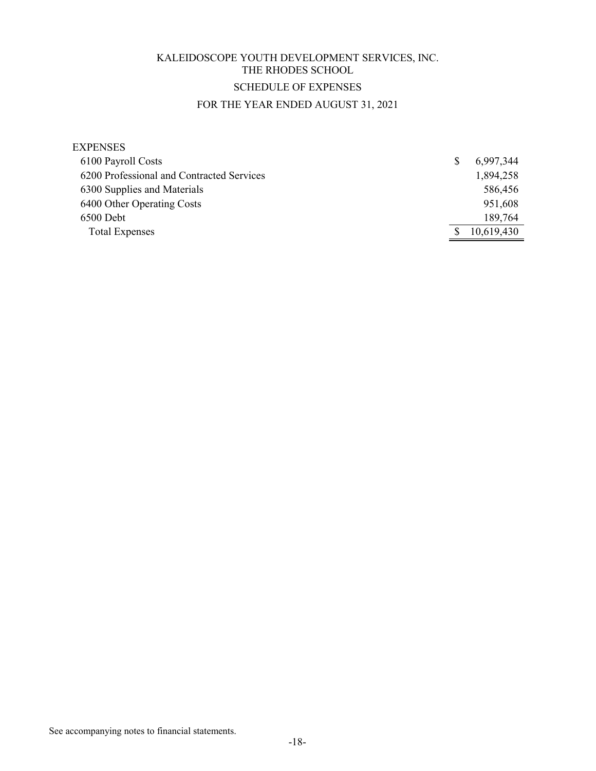# FOR THE YEAR ENDED AUGUST 31, 2021 KALEIDOSCOPE YOUTH DEVELOPMENT SERVICES, INC. SCHEDULE OF EXPENSES THE RHODES SCHOOL

| <b>EXPENSES</b>                           |            |
|-------------------------------------------|------------|
| 6100 Payroll Costs                        | 6,997,344  |
| 6200 Professional and Contracted Services | 1,894,258  |
| 6300 Supplies and Materials               | 586,456    |
| 6400 Other Operating Costs                | 951,608    |
| 6500 Debt                                 | 189,764    |
| <b>Total Expenses</b>                     | 10,619,430 |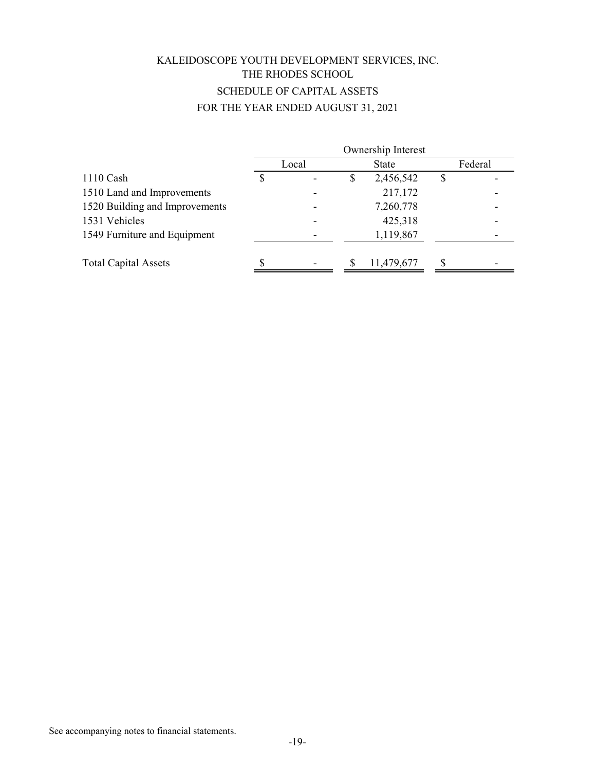# KALEIDOSCOPE YOUTH DEVELOPMENT SERVICES, INC. SCHEDULE OF CAPITAL ASSETS FOR THE YEAR ENDED AUGUST 31, 2021 THE RHODES SCHOOL

|                                | Ownership Interest    |  |    |            |   |         |  |  |  |
|--------------------------------|-----------------------|--|----|------------|---|---------|--|--|--|
|                                | Local<br><b>State</b> |  |    |            |   | Federal |  |  |  |
| 1110 Cash                      |                       |  | \$ | 2,456,542  | S |         |  |  |  |
| 1510 Land and Improvements     |                       |  |    | 217,172    |   |         |  |  |  |
| 1520 Building and Improvements |                       |  |    | 7,260,778  |   |         |  |  |  |
| 1531 Vehicles                  |                       |  |    | 425,318    |   |         |  |  |  |
| 1549 Furniture and Equipment   |                       |  |    | 1,119,867  |   |         |  |  |  |
|                                |                       |  |    |            |   |         |  |  |  |
| <b>Total Capital Assets</b>    |                       |  |    | 11,479,677 |   |         |  |  |  |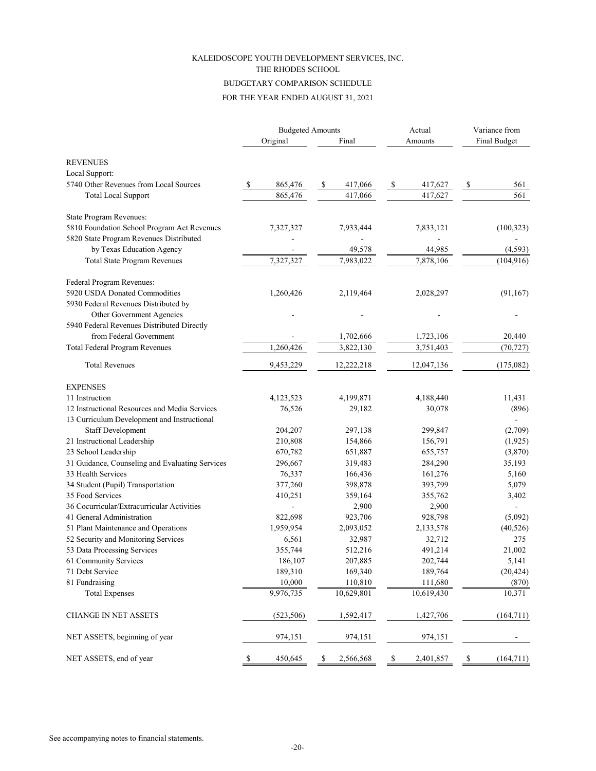# KALEIDOSCOPE YOUTH DEVELOPMENT SERVICES, INC. THE RHODES SCHOOL BUDGETARY COMPARISON SCHEDULE FOR THE YEAR ENDED AUGUST 31, 2021

|                                                 |     |            | <b>Budgeted Amounts</b> |            | Actual |            | Variance from |                     |
|-------------------------------------------------|-----|------------|-------------------------|------------|--------|------------|---------------|---------------------|
|                                                 |     | Original   |                         | Final      |        | Amounts    |               | <b>Final Budget</b> |
| <b>REVENUES</b>                                 |     |            |                         |            |        |            |               |                     |
| Local Support:                                  |     |            |                         |            |        |            |               |                     |
| 5740 Other Revenues from Local Sources          | \$. | 865,476    | \$                      | 417,066    | \$     | 417,627    | \$            | 561                 |
| <b>Total Local Support</b>                      |     | 865,476    |                         | 417,066    |        | 417,627    |               | 561                 |
| <b>State Program Revenues:</b>                  |     |            |                         |            |        |            |               |                     |
| 5810 Foundation School Program Act Revenues     |     | 7,327,327  |                         | 7,933,444  |        | 7,833,121  |               | (100, 323)          |
| 5820 State Program Revenues Distributed         |     |            |                         |            |        |            |               |                     |
| by Texas Education Agency                       |     |            |                         | 49,578     |        | 44,985     |               | (4, 593)            |
| <b>Total State Program Revenues</b>             |     | 7,327,327  |                         | 7,983,022  |        | 7,878,106  |               | (104, 916)          |
| Federal Program Revenues:                       |     |            |                         |            |        |            |               |                     |
| 5920 USDA Donated Commodities                   |     | 1,260,426  |                         | 2,119,464  |        | 2,028,297  |               | (91, 167)           |
| 5930 Federal Revenues Distributed by            |     |            |                         |            |        |            |               |                     |
| Other Government Agencies                       |     |            |                         |            |        |            |               |                     |
| 5940 Federal Revenues Distributed Directly      |     |            |                         |            |        |            |               |                     |
| from Federal Government                         |     |            |                         | 1,702,666  |        | 1,723,106  |               | 20,440              |
| Total Federal Program Revenues                  |     | 1,260,426  |                         | 3,822,130  |        | 3,751,403  |               | (70, 727)           |
| <b>Total Revenues</b>                           |     | 9,453,229  |                         | 12,222,218 |        | 12,047,136 |               | (175,082)           |
| <b>EXPENSES</b>                                 |     |            |                         |            |        |            |               |                     |
| 11 Instruction                                  |     | 4,123,523  |                         | 4,199,871  |        | 4,188,440  |               | 11,431              |
| 12 Instructional Resources and Media Services   |     | 76,526     |                         | 29,182     |        | 30,078     |               | (896)               |
| 13 Curriculum Development and Instructional     |     |            |                         |            |        |            |               |                     |
| <b>Staff Development</b>                        |     | 204,207    |                         | 297,138    |        | 299,847    |               | (2,709)             |
| 21 Instructional Leadership                     |     | 210,808    |                         | 154,866    |        | 156,791    |               | (1,925)             |
| 23 School Leadership                            |     | 670,782    |                         | 651,887    |        | 655,757    |               | (3,870)             |
| 31 Guidance, Counseling and Evaluating Services |     | 296,667    |                         | 319,483    |        | 284,290    |               | 35,193              |
| 33 Health Services                              |     | 76,337     |                         | 166,436    |        | 161,276    |               | 5,160               |
| 34 Student (Pupil) Transportation               |     | 377,260    |                         | 398,878    |        | 393,799    |               | 5,079               |
| 35 Food Services                                |     | 410,251    |                         | 359,164    |        | 355,762    |               | 3,402               |
| 36 Cocurricular/Extracurricular Activities      |     |            |                         | 2,900      |        | 2,900      |               |                     |
| 41 General Administration                       |     | 822,698    |                         | 923,706    |        | 928,798    |               | (5,092)             |
| 51 Plant Maintenance and Operations             |     | 1,959,954  |                         | 2,093,052  |        | 2,133,578  |               | (40, 526)           |
| 52 Security and Monitoring Services             |     | 6,561      |                         | 32,987     |        | 32,712     |               | 275                 |
| 53 Data Processing Services                     |     | 355,744    |                         | 512,216    |        | 491,214    |               | 21,002              |
| 61 Community Services                           |     | 186,107    |                         | 207,885    |        | 202,744    |               | 5,141               |
| 71 Debt Service                                 |     | 189,310    |                         | 169,340    |        | 189,764    |               | (20, 424)           |
| 81 Fundraising                                  |     | 10,000     |                         | 110,810    |        | 111,680    |               | (870)               |
| <b>Total Expenses</b>                           |     | 9,976,735  |                         | 10,629,801 |        | 10,619,430 |               | 10,371              |
| <b>CHANGE IN NET ASSETS</b>                     |     | (523, 506) |                         | 1,592,417  |        | 1,427,706  |               | (164,711)           |
| NET ASSETS, beginning of year                   |     | 974,151    |                         | 974,151    |        | 974,151    |               |                     |
| NET ASSETS, end of year                         | \$  | 450,645    | \$                      | 2,566,568  | \$     | 2,401,857  | \$            | (164, 711)          |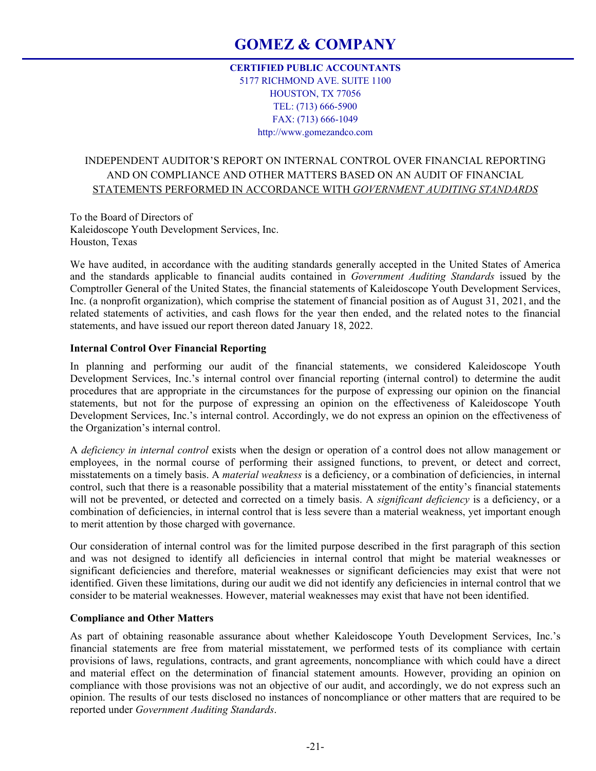# **CERTIFIED PUBLIC ACCOUNTANTS**  5177 RICHMOND AVE. SUITE 1100 HOUSTON, TX 77056 TEL: (713) 666-5900 FAX: (713) 666-1049 http://www.gomezandco.com

# INDEPENDENT AUDITOR'S REPORT ON INTERNAL CONTROL OVER FINANCIAL REPORTING AND ON COMPLIANCE AND OTHER MATTERS BASED ON AN AUDIT OF FINANCIAL STATEMENTS PERFORMED IN ACCORDANCE WITH *GOVERNMENT AUDITING STANDARDS*

To the Board of Directors of Kaleidoscope Youth Development Services, Inc. Houston, Texas

We have audited, in accordance with the auditing standards generally accepted in the United States of America and the standards applicable to financial audits contained in *Government Auditing Standards* issued by the Comptroller General of the United States, the financial statements of Kaleidoscope Youth Development Services, Inc. (a nonprofit organization), which comprise the statement of financial position as of August 31, 2021, and the related statements of activities, and cash flows for the year then ended, and the related notes to the financial statements, and have issued our report thereon dated January 18, 2022.

# **Internal Control Over Financial Reporting**

In planning and performing our audit of the financial statements, we considered Kaleidoscope Youth Development Services, Inc.'s internal control over financial reporting (internal control) to determine the audit procedures that are appropriate in the circumstances for the purpose of expressing our opinion on the financial statements, but not for the purpose of expressing an opinion on the effectiveness of Kaleidoscope Youth Development Services, Inc.'s internal control. Accordingly, we do not express an opinion on the effectiveness of the Organization's internal control.

A *deficiency in internal control* exists when the design or operation of a control does not allow management or employees, in the normal course of performing their assigned functions, to prevent, or detect and correct, misstatements on a timely basis. A *material weakness* is a deficiency, or a combination of deficiencies, in internal control, such that there is a reasonable possibility that a material misstatement of the entity's financial statements will not be prevented, or detected and corrected on a timely basis. A *significant deficiency* is a deficiency, or a combination of deficiencies, in internal control that is less severe than a material weakness, yet important enough to merit attention by those charged with governance.

Our consideration of internal control was for the limited purpose described in the first paragraph of this section and was not designed to identify all deficiencies in internal control that might be material weaknesses or significant deficiencies and therefore, material weaknesses or significant deficiencies may exist that were not identified. Given these limitations, during our audit we did not identify any deficiencies in internal control that we consider to be material weaknesses. However, material weaknesses may exist that have not been identified.

## **Compliance and Other Matters**

As part of obtaining reasonable assurance about whether Kaleidoscope Youth Development Services, Inc.'s financial statements are free from material misstatement, we performed tests of its compliance with certain provisions of laws, regulations, contracts, and grant agreements, noncompliance with which could have a direct and material effect on the determination of financial statement amounts. However, providing an opinion on compliance with those provisions was not an objective of our audit, and accordingly, we do not express such an opinion. The results of our tests disclosed no instances of noncompliance or other matters that are required to be reported under *Government Auditing Standards*.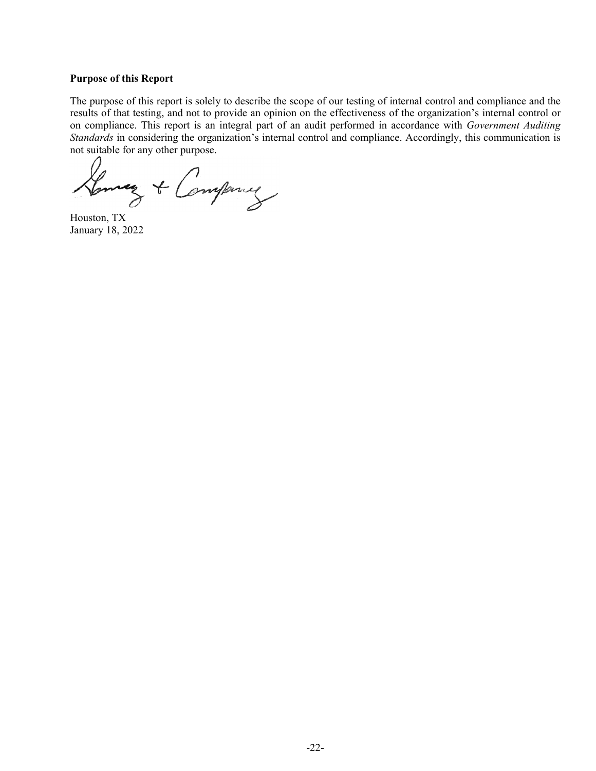#### **Purpose of this Report**

The purpose of this report is solely to describe the scope of our testing of internal control and compliance and the results of that testing, and not to provide an opinion on the effectiveness of the organization's internal control or on compliance. This report is an integral part of an audit performed in accordance with *Government Auditing Standards* in considering the organization's internal control and compliance. Accordingly, this communication is not suitable for any other purpose.

Lonney + Company

Houston, TX January 18, 2022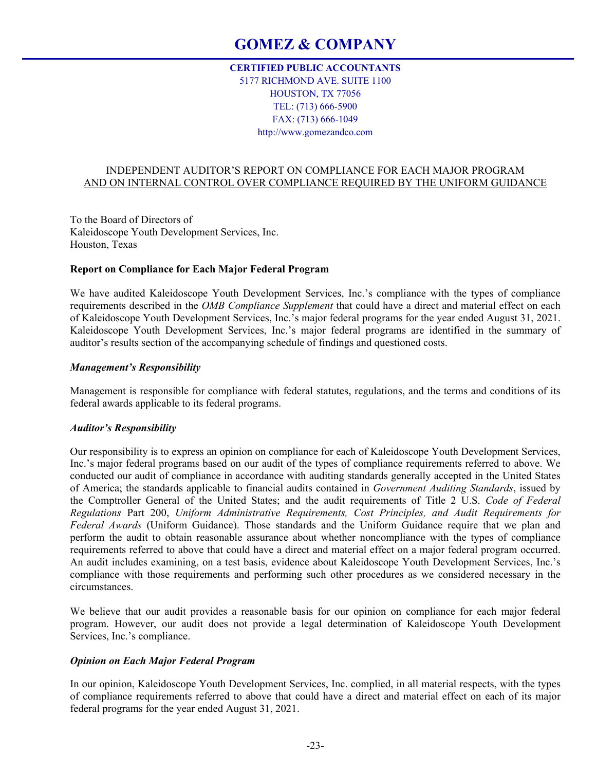# **GOMEZ & COMPANY**

# **CERTIFIED PUBLIC ACCOUNTANTS**  5177 RICHMOND AVE. SUITE 1100 HOUSTON, TX 77056 TEL: (713) 666-5900 FAX: (713) 666-1049 http://www.gomezandco.com

## INDEPENDENT AUDITOR'S REPORT ON COMPLIANCE FOR EACH MAJOR PROGRAM AND ON INTERNAL CONTROL OVER COMPLIANCE REQUIRED BY THE UNIFORM GUIDANCE

To the Board of Directors of Kaleidoscope Youth Development Services, Inc. Houston, Texas

#### **Report on Compliance for Each Major Federal Program**

We have audited Kaleidoscope Youth Development Services, Inc.'s compliance with the types of compliance requirements described in the *OMB Compliance Supplement* that could have a direct and material effect on each of Kaleidoscope Youth Development Services, Inc.'s major federal programs for the year ended August 31, 2021. Kaleidoscope Youth Development Services, Inc.'s major federal programs are identified in the summary of auditor's results section of the accompanying schedule of findings and questioned costs.

#### *Management's Responsibility*

Management is responsible for compliance with federal statutes, regulations, and the terms and conditions of its federal awards applicable to its federal programs.

#### *Auditor's Responsibility*

Our responsibility is to express an opinion on compliance for each of Kaleidoscope Youth Development Services, Inc.'s major federal programs based on our audit of the types of compliance requirements referred to above. We conducted our audit of compliance in accordance with auditing standards generally accepted in the United States of America; the standards applicable to financial audits contained in *Government Auditing Standards*, issued by the Comptroller General of the United States; and the audit requirements of Title 2 U.S. *Code of Federal Regulations* Part 200, *Uniform Administrative Requirements, Cost Principles, and Audit Requirements for Federal Awards* (Uniform Guidance). Those standards and the Uniform Guidance require that we plan and perform the audit to obtain reasonable assurance about whether noncompliance with the types of compliance requirements referred to above that could have a direct and material effect on a major federal program occurred. An audit includes examining, on a test basis, evidence about Kaleidoscope Youth Development Services, Inc.'s compliance with those requirements and performing such other procedures as we considered necessary in the circumstances.

We believe that our audit provides a reasonable basis for our opinion on compliance for each major federal program. However, our audit does not provide a legal determination of Kaleidoscope Youth Development Services, Inc.'s compliance.

#### *Opinion on Each Major Federal Program*

In our opinion, Kaleidoscope Youth Development Services, Inc. complied, in all material respects, with the types of compliance requirements referred to above that could have a direct and material effect on each of its major federal programs for the year ended August 31, 2021.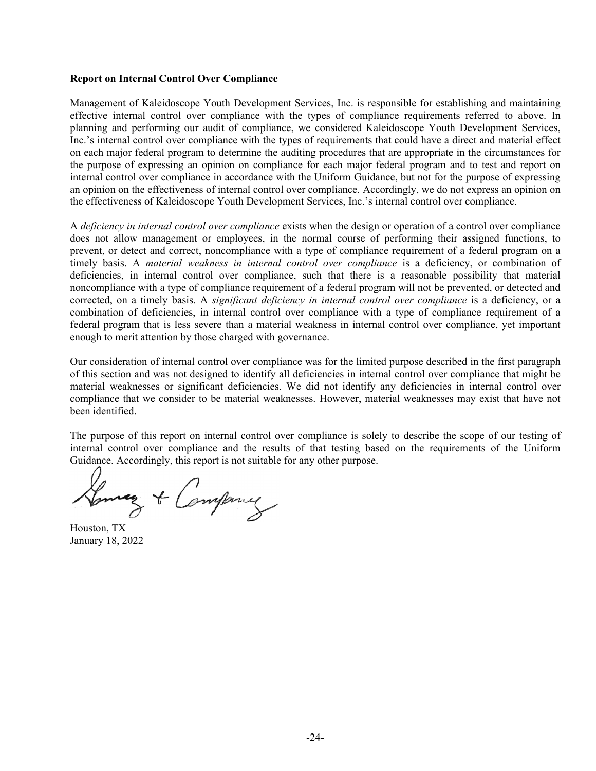#### **Report on Internal Control Over Compliance**

Management of Kaleidoscope Youth Development Services, Inc. is responsible for establishing and maintaining effective internal control over compliance with the types of compliance requirements referred to above. In planning and performing our audit of compliance, we considered Kaleidoscope Youth Development Services, Inc.'s internal control over compliance with the types of requirements that could have a direct and material effect on each major federal program to determine the auditing procedures that are appropriate in the circumstances for the purpose of expressing an opinion on compliance for each major federal program and to test and report on internal control over compliance in accordance with the Uniform Guidance, but not for the purpose of expressing an opinion on the effectiveness of internal control over compliance. Accordingly, we do not express an opinion on the effectiveness of Kaleidoscope Youth Development Services, Inc.'s internal control over compliance.

A *deficiency in internal control over compliance* exists when the design or operation of a control over compliance does not allow management or employees, in the normal course of performing their assigned functions, to prevent, or detect and correct, noncompliance with a type of compliance requirement of a federal program on a timely basis. A *material weakness in internal control over compliance* is a deficiency, or combination of deficiencies, in internal control over compliance, such that there is a reasonable possibility that material noncompliance with a type of compliance requirement of a federal program will not be prevented, or detected and corrected, on a timely basis. A *significant deficiency in internal control over compliance* is a deficiency, or a combination of deficiencies, in internal control over compliance with a type of compliance requirement of a federal program that is less severe than a material weakness in internal control over compliance, yet important enough to merit attention by those charged with governance.

Our consideration of internal control over compliance was for the limited purpose described in the first paragraph of this section and was not designed to identify all deficiencies in internal control over compliance that might be material weaknesses or significant deficiencies. We did not identify any deficiencies in internal control over compliance that we consider to be material weaknesses. However, material weaknesses may exist that have not been identified.

The purpose of this report on internal control over compliance is solely to describe the scope of our testing of internal control over compliance and the results of that testing based on the requirements of the Uniform Guidance. Accordingly, this report is not suitable for any other purpose.

Lenney & Company

Houston, TX January 18, 2022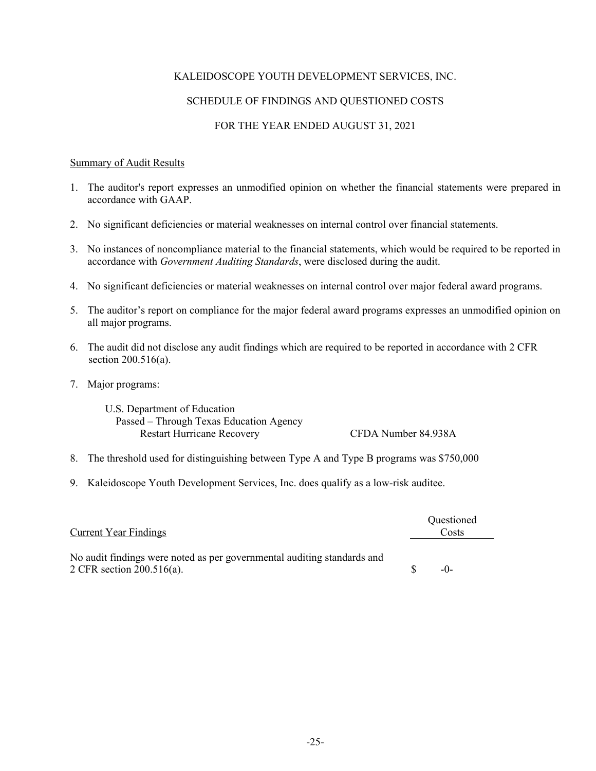# SCHEDULE OF FINDINGS AND QUESTIONED COSTS

# FOR THE YEAR ENDED AUGUST 31, 2021

## Summary of Audit Results

- 1. The auditor's report expresses an unmodified opinion on whether the financial statements were prepared in accordance with GAAP.
- 2. No significant deficiencies or material weaknesses on internal control over financial statements.
- 3. No instances of noncompliance material to the financial statements, which would be required to be reported in accordance with *Government Auditing Standards*, were disclosed during the audit.
- 4. No significant deficiencies or material weaknesses on internal control over major federal award programs.
- 5. The auditor's report on compliance for the major federal award programs expresses an unmodified opinion on all major programs.
- 6. The audit did not disclose any audit findings which are required to be reported in accordance with 2 CFR section 200.516(a).
- 7. Major programs:

U.S. Department of Education Passed – Through Texas Education Agency Restart Hurricane Recovery CFDA Number 84.938A

- 8. The threshold used for distinguishing between Type A and Type B programs was \$750,000
- 9. Kaleidoscope Youth Development Services, Inc. does qualify as a low-risk auditee.

| <b>Current Year Findings</b>                                                                            | Questioned<br>Costs |
|---------------------------------------------------------------------------------------------------------|---------------------|
| No audit findings were noted as per governmental auditing standards and<br>2 CFR section $200.516(a)$ . | $-0-$               |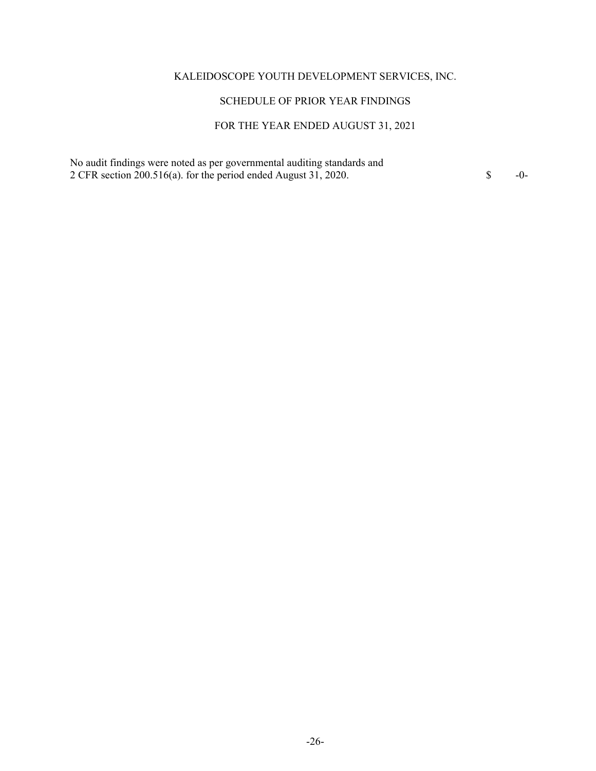# SCHEDULE OF PRIOR YEAR FINDINGS

# FOR THE YEAR ENDED AUGUST 31, 2021

No audit findings were noted as per governmental auditing standards and 2 CFR section  $200.516(a)$ . for the period ended August 31, 2020.  $\qquad \qquad$  \$ -0-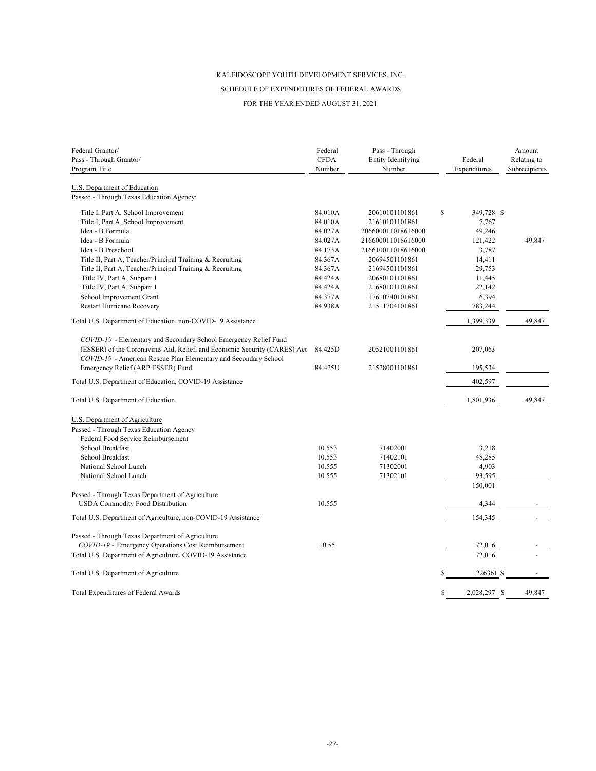# KALEIDOSCOPE YOUTH DEVELOPMENT SERVICES, INC. SCHEDULE OF EXPENDITURES OF FEDERAL AWARDS FOR THE YEAR ENDED AUGUST 31, 2021

| Federal Grantor/<br>Pass - Through Grantor/<br>Program Title                    | Federal<br><b>CFDA</b><br>Number | Pass - Through<br>Entity Identifying<br>Number | Federal<br>Expenditures | Amount<br>Relating to<br>Subrecipients |
|---------------------------------------------------------------------------------|----------------------------------|------------------------------------------------|-------------------------|----------------------------------------|
|                                                                                 |                                  |                                                |                         |                                        |
| <b>U.S. Department of Education</b><br>Passed - Through Texas Education Agency: |                                  |                                                |                         |                                        |
| Title I, Part A, School Improvement                                             | 84.010A                          | 20610101101861                                 | \$<br>349,728 \$        |                                        |
| Title I, Part A, School Improvement                                             | 84.010A                          | 21610101101861                                 | 7,767                   |                                        |
| Idea - B Formula                                                                | 84.027A                          | 206600011018616000                             | 49,246                  |                                        |
| Idea - B Formula                                                                | 84.027A                          | 216600011018616000                             | 121,422                 | 49,847                                 |
| Idea - B Preschool                                                              | 84.173A                          | 216610011018616000                             | 3,787                   |                                        |
| Title II, Part A, Teacher/Principal Training & Recruiting                       | 84.367A                          | 20694501101861                                 | 14,411                  |                                        |
| Title II, Part A, Teacher/Principal Training & Recruiting                       | 84.367A                          | 21694501101861                                 | 29,753                  |                                        |
| Title IV, Part A, Subpart 1                                                     | 84.424A                          | 20680101101861                                 | 11,445                  |                                        |
| Title IV, Part A, Subpart 1                                                     | 84.424A                          | 21680101101861                                 | 22,142                  |                                        |
| School Improvement Grant                                                        | 84.377A                          | 17610740101861                                 | 6,394                   |                                        |
|                                                                                 | 84.938A                          |                                                |                         |                                        |
| Restart Hurricane Recovery                                                      |                                  | 21511704101861                                 | 783,244                 |                                        |
| Total U.S. Department of Education, non-COVID-19 Assistance                     |                                  |                                                | 1,399,339               | 49,847                                 |
| COVID-19 - Elementary and Secondary School Emergency Relief Fund                |                                  |                                                |                         |                                        |
| (ESSER) of the Coronavirus Aid, Relief, and Economic Security (CARES) Act       | 84.425D                          | 20521001101861                                 | 207,063                 |                                        |
| COVID-19 - American Rescue Plan Elementary and Secondary School                 |                                  |                                                |                         |                                        |
| Emergency Relief (ARP ESSER) Fund                                               | 84.425U                          | 21528001101861                                 | 195,534                 |                                        |
| Total U.S. Department of Education, COVID-19 Assistance                         |                                  |                                                | 402,597                 |                                        |
|                                                                                 |                                  |                                                |                         |                                        |
| Total U.S. Department of Education                                              |                                  |                                                | 1,801,936               | 49,847                                 |
| U.S. Department of Agriculture                                                  |                                  |                                                |                         |                                        |
| Passed - Through Texas Education Agency                                         |                                  |                                                |                         |                                        |
| Federal Food Service Reimbursement                                              |                                  |                                                |                         |                                        |
| School Breakfast                                                                | 10.553                           | 71402001                                       | 3,218                   |                                        |
| School Breakfast                                                                | 10.553                           | 71402101                                       | 48,285                  |                                        |
| National School Lunch                                                           | 10.555                           | 71302001                                       | 4,903                   |                                        |
| National School Lunch                                                           | 10.555                           | 71302101                                       | 93,595                  |                                        |
|                                                                                 |                                  |                                                | 150,001                 |                                        |
| Passed - Through Texas Department of Agriculture                                |                                  |                                                |                         |                                        |
| <b>USDA Commodity Food Distribution</b>                                         | 10.555                           |                                                | 4,344                   |                                        |
| Total U.S. Department of Agriculture, non-COVID-19 Assistance                   |                                  |                                                | 154,345                 |                                        |
|                                                                                 |                                  |                                                |                         |                                        |
| Passed - Through Texas Department of Agriculture                                |                                  |                                                |                         |                                        |
| COVID-19 - Emergency Operations Cost Reimbursement                              | 10.55                            |                                                | 72,016                  |                                        |
| Total U.S. Department of Agriculture, COVID-19 Assistance                       |                                  |                                                | 72.016                  |                                        |
| Total U.S. Department of Agriculture                                            |                                  |                                                | \$<br>226361 \$         |                                        |
| Total Expenditures of Federal Awards                                            |                                  |                                                | \$<br>2,028,297 \$      | 49.847                                 |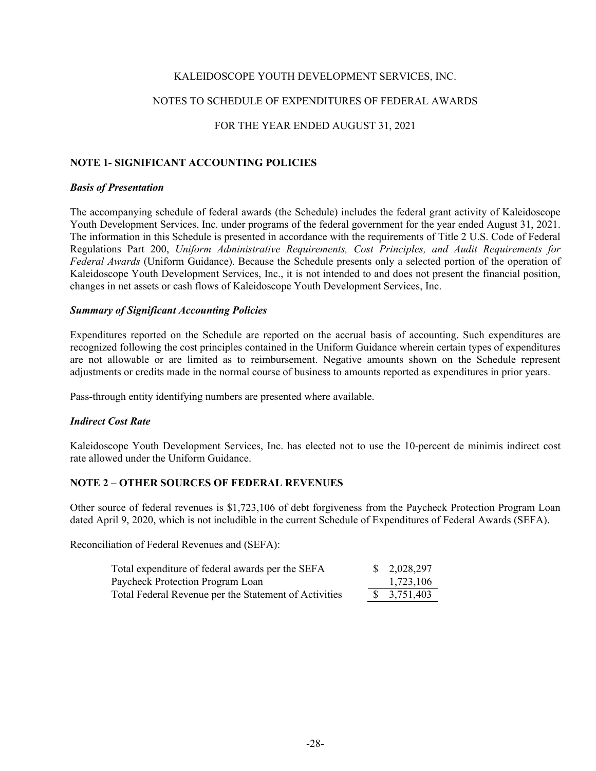# NOTES TO SCHEDULE OF EXPENDITURES OF FEDERAL AWARDS

# FOR THE YEAR ENDED AUGUST 31, 2021

# **NOTE 1- SIGNIFICANT ACCOUNTING POLICIES**

## *Basis of Presentation*

The accompanying schedule of federal awards (the Schedule) includes the federal grant activity of Kaleidoscope Youth Development Services, Inc. under programs of the federal government for the year ended August 31, 2021. The information in this Schedule is presented in accordance with the requirements of Title 2 U.S. Code of Federal Regulations Part 200, *Uniform Administrative Requirements, Cost Principles, and Audit Requirements for Federal Awards* (Uniform Guidance). Because the Schedule presents only a selected portion of the operation of Kaleidoscope Youth Development Services, Inc., it is not intended to and does not present the financial position, changes in net assets or cash flows of Kaleidoscope Youth Development Services, Inc.

#### *Summary of Significant Accounting Policies*

Expenditures reported on the Schedule are reported on the accrual basis of accounting. Such expenditures are recognized following the cost principles contained in the Uniform Guidance wherein certain types of expenditures are not allowable or are limited as to reimbursement. Negative amounts shown on the Schedule represent adjustments or credits made in the normal course of business to amounts reported as expenditures in prior years.

Pass-through entity identifying numbers are presented where available.

## *Indirect Cost Rate*

Kaleidoscope Youth Development Services, Inc. has elected not to use the 10-percent de minimis indirect cost rate allowed under the Uniform Guidance.

## **NOTE 2 – OTHER SOURCES OF FEDERAL REVENUES**

Other source of federal revenues is \$1,723,106 of debt forgiveness from the Paycheck Protection Program Loan dated April 9, 2020, which is not includible in the current Schedule of Expenditures of Federal Awards (SEFA).

Reconciliation of Federal Revenues and (SEFA):

| Total expenditure of federal awards per the SEFA      | \$2,028,297    |
|-------------------------------------------------------|----------------|
| Paycheck Protection Program Loan                      | 1,723,106      |
| Total Federal Revenue per the Statement of Activities | $\$ 3,751,403$ |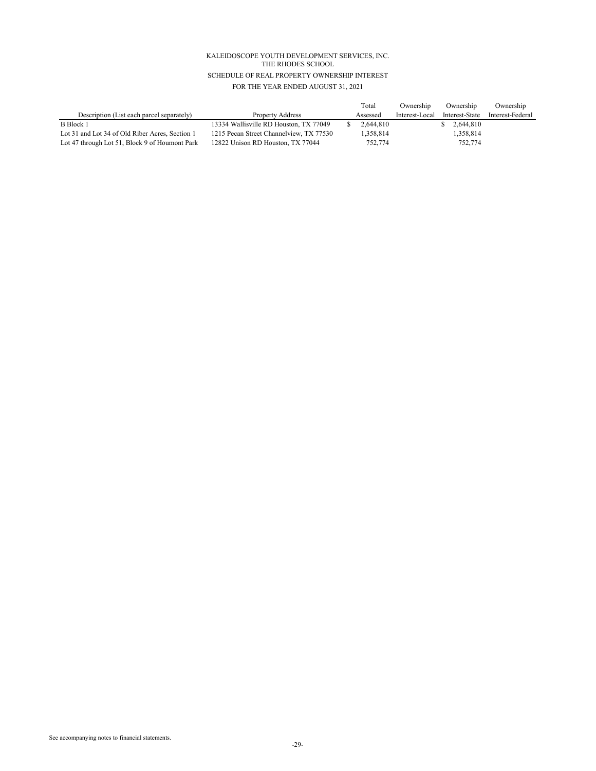#### THE RHODES SCHOOL SCHEDULE OF REAL PROPERTY OWNERSHIP INTEREST FOR THE YEAR ENDED AUGUST 31, 2021 KALEIDOSCOPE YOUTH DEVELOPMENT SERVICES, INC.

|                                                 |                                         | Total     | Ownership      | Ownership      | Ownership        |
|-------------------------------------------------|-----------------------------------------|-----------|----------------|----------------|------------------|
| Description (List each parcel separately)       | <b>Property Address</b>                 | Assessed  | Interest-Local | Interest-State | Interest-Federal |
| B Block 1                                       | 13334 Wallisville RD Houston, TX 77049  | 2.644.810 |                | 2.644.810      |                  |
| Lot 31 and Lot 34 of Old Riber Acres, Section 1 | 1215 Pecan Street Channelview, TX 77530 | 1.358.814 |                | 1.358.814      |                  |
| Lot 47 through Lot 51, Block 9 of Houmont Park  | 12822 Unison RD Houston, TX 77044       | 752,774   |                | 752,774        |                  |